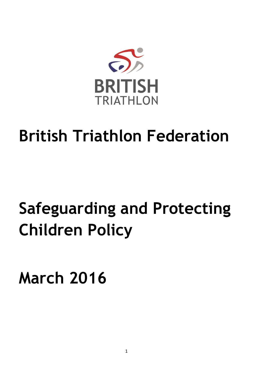

# **British Triathlon Federation**

# **Safeguarding and Protecting Children Policy**

**March 2016**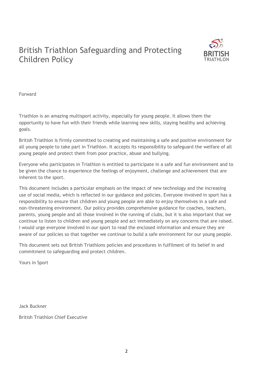# British Triathlon Safeguarding and Protecting Children Policy



Forward

Triathlon is an amazing multisport activity, especially for young people. It allows them the opportunity to have fun with their friends while learning new skills, staying healthy and achieving goals.

British Triathlon is firmly committed to creating and maintaining a safe and positive environment for all young people to take part in Triathlon. It accepts its responsibility to safeguard the welfare of all young people and protect them from poor practice, abuse and bullying.

Everyone who participates in Triathlon is entitled to participate in a safe and fun environment and to be given the chance to experience the feelings of enjoyment, challenge and achievement that are inherent to the sport.

This document includes a particular emphasis on the impact of new technology and the increasing use of social media, which is reflected in our guidance and policies. Everyone involved in sport has a responsibility to ensure that children and young people are able to enjoy themselves in a safe and non-threatening environment. Our policy provides comprehensive guidance for coaches, teachers, parents, young people and all those involved in the running of clubs, but it is also important that we continue to listen to children and young people and act immediately on any concerns that are raised. I would urge everyone involved in our sport to read the enclosed information and ensure they are aware of our policies so that together we continue to build a safe environment for our young people.

This document sets out British Triathlons policies and procedures in fulfilment of its belief in and commitment to safeguarding and protect children.

Yours in Sport

Jack Buckner

British Triathlon Chief Executive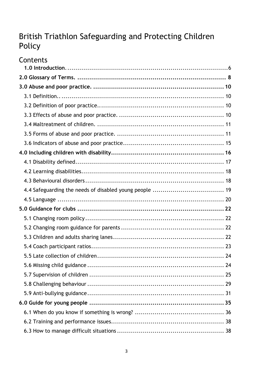# British Triathlon Safeguarding and Protecting Children Policy

| Contents |  |
|----------|--|
|          |  |
|          |  |
|          |  |
|          |  |
|          |  |
|          |  |
|          |  |
|          |  |
|          |  |
|          |  |
|          |  |
|          |  |
|          |  |
|          |  |
|          |  |
|          |  |
|          |  |
|          |  |
|          |  |
|          |  |
|          |  |
|          |  |
|          |  |
|          |  |
|          |  |
|          |  |
|          |  |
|          |  |
|          |  |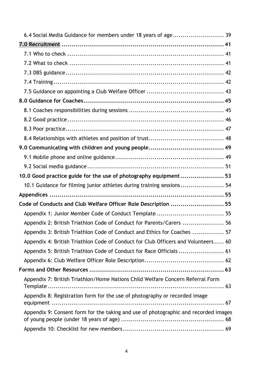| 10.0 Good practice guide for the use of photography equipment 53                    |  |
|-------------------------------------------------------------------------------------|--|
| 10.1 Guidance for filming junior athletes during training sessions 54               |  |
|                                                                                     |  |
| Code of Conducts and Club Welfare Officer Role Description  55                      |  |
| Appendix 1: Junior Member Code of Conduct Template  55                              |  |
| Appendix 2: British Triathlon Code of Conduct for Parents/Carers  56                |  |
| Appendix 3: British Triathlon Code of Conduct and Ethics for Coaches  57            |  |
| Appendix 4: British Triathlon Code of Conduct for Club Officers and Volunteers 60   |  |
| Appendix 5: British Triathlon Code of Conduct for Race Officials  61                |  |
|                                                                                     |  |
|                                                                                     |  |
| Appendix 7: British Triathlon/Home Nations Child Welfare Concern Referral Form      |  |
| Appendix 8: Registration form for the use of photography or recorded image          |  |
| Appendix 9: Consent form for the taking and use of photographic and recorded images |  |
|                                                                                     |  |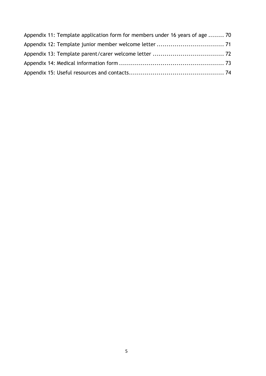| Appendix 11: Template application form for members under 16 years of age  70 |  |
|------------------------------------------------------------------------------|--|
|                                                                              |  |
|                                                                              |  |
|                                                                              |  |
|                                                                              |  |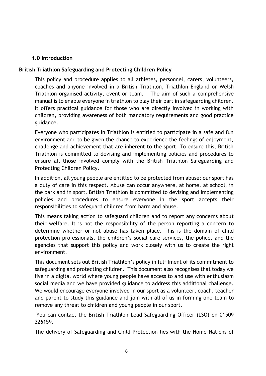#### **1.0 Introduction**.

#### <span id="page-5-0"></span>**British Triathlon Safeguarding and Protecting Children Policy**

This policy and procedure applies to all athletes, personnel, carers, volunteers, coaches and anyone involved in a British Triathlon, Triathlon England or Welsh Triathlon organised activity, event or team. The aim of such a comprehensive manual is to enable everyone in triathlon to play their part in safeguarding children. It offers practical guidance for those who are directly involved in working with children, providing awareness of both mandatory requirements and good practice guidance.

Everyone who participates in Triathlon is entitled to participate in a safe and fun environment and to be given the chance to experience the feelings of enjoyment, challenge and achievement that are inherent to the sport. To ensure this, British Triathlon is committed to devising and implementing policies and procedures to ensure all those involved comply with the British Triathlon Safeguarding and Protecting Children Policy.

In addition, all young people are entitled to be protected from abuse; our sport has a duty of care in this respect. Abuse can occur anywhere, at home, at school, in the park and in sport. British Triathlon is committed to devising and implementing policies and procedures to ensure everyone in the sport accepts their responsibilities to safeguard children from harm and abuse.

This means taking action to safeguard children and to report any concerns about their welfare. It is not the responsibility of the person reporting a concern to determine whether or not abuse has taken place. This is the domain of child protection professionals, the children's social care services, the police, and the agencies that support this policy and work closely with us to create the right environment.

This document sets out British Triathlon's policy in fulfilment of its commitment to safeguarding and protecting children. This document also recognises that today we live in a digital world where young people have access to and use with enthusiasm social media and we have provided guidance to address this additional challenge. We would encourage everyone involved in our sport as a volunteer, coach, teacher and parent to study this guidance and join with all of us in forming one team to remove any threat to children and young people in our sport.

You can contact the British Triathlon Lead Safeguarding Officer (LSO) on 01509 226159.

The delivery of Safeguarding and Child Protection lies with the Home Nations of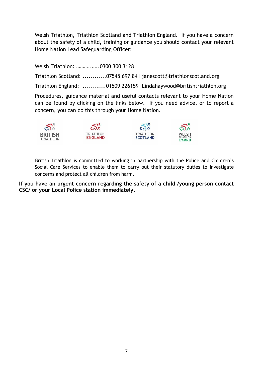Welsh Triathlon, Triathlon Scotland and Triathlon England. If you have a concern about the safety of a child, training or guidance you should contact your relevant Home Nation Lead Safeguarding Officer:

Welsh Triathlon: ………..…..0300 300 3128

Triathlon Scotland: ............07545 697 841 janescott@triathlonscotland.org

Triathlon England: ............01509 226159 Lindahaywood@britishtriathlon.org

Procedures, guidance material and useful contacts relevant to your Home Nation can be found by clicking on the links below. If you need advice, or to report a concern, you can do this through your Home Nation.



British Triathlon is committed to working in partnership with the Police and Children's Social Care Services to enable them to carry out their statutory duties to investigate concerns and protect all children from harm**.**

**If you have an urgent concern regarding the safety of a child /young person contact CSC/ or your Local Police station immediately.**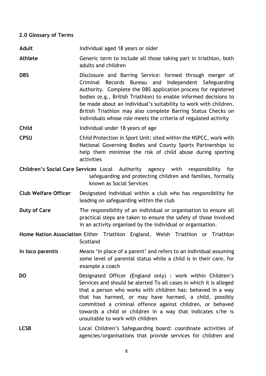#### <span id="page-7-0"></span>**2.0 Glossary of Terms.**

- Adult **Adult** Individual aged 18 years or older
- **Athlete** Generic term to include all those taking part in triathlon, both adults and children.
- **DBS** Disclosure and Barring Service: formed through merger of Criminal Records Bureau and Independent Safeguarding Authority. Complete the DBS application process for registered bodies (e.g., British Triathlon) to enable informed decisions to be made about an individual's suitability to work with children. British Triathlon may also complete Barring Status Checks on individuals whose role meets the criteria of regulated activity.
- **Child Individual under 18 years of age.**

**CPSU** Child Protection in Sport Unit: sited within the NSPCC, work with National Governing Bodies and County Sports Partnerships to help them minimise the risk of child abuse during sporting activities.

- **Children's Social Care Services** Local Authority agency with responsibility for safeguarding and protecting children and families, formally known as Social Services.
- **Club Welfare Officer** Designated individual within a club who has responsibility for leading on safeguarding within the club.
- **Duty of Care** The responsibility of an individual or organisation to ensure all practical steps are taken to ensure the safety of those involved in an activity organised by the individual or organisation.

**Home Nation Association** Either Triathlon England, Welsh Triathlon or Triathlon **Scotland** 

- **In loco parentis** Means 'in place of a parent' and refers to an individual assuming some level of parental status while a child is in their care, for example a coach.
- **DO** Designated Officer (England only) : work within Children's Services and should be alerted To all cases in which it is alleged that a person who works with children has: behaved in a way that has harmed, or may have harmed, a child, possibly committed a criminal offence against children, or behaved towards a child or children in a way that indicates s/he is unsuitable to work with children
- LCSB Local Children's Safeguarding board: coordinate activities of agencies/organisations that provide services for children and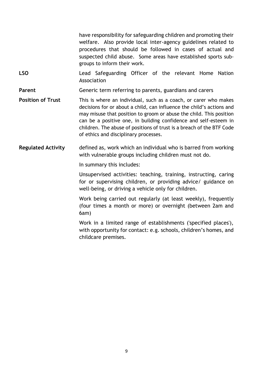have responsibility for safeguarding children and promoting their welfare. Also provide local inter-agency guidelines related to procedures that should be followed in cases of actual and suspected child abuse. Some areas have established sports subgroups to inform their work.

**LSO** Lead Safeguarding Officer of the relevant Home Nation Association.

**Parent** Generic term referring to parents, guardians and carers

- **Position of Trust** This is where an individual, such as a coach, or carer who makes decisions for or about a child, can influence the child's actions and may misuse that position to groom or abuse the child. This position can be a positive one, in building confidence and self-esteem in children. The abuse of positions of trust is a breach of the BTF Code of ethics and disciplinary processes.
- **Regulated Activity** defined as, work which an individual who is barred from working with vulnerable groups including children must not do.

In summary this includes:

Unsupervised activities: teaching, training, instructing, caring for or supervising children, or providing advice/ guidance on well-being, or driving a vehicle only for children.

Work being carried out regularly (at least weekly), frequently (four times a month or more) or overnight (between 2am and 6am)

Work in a limited range of establishments ('specified places'), with opportunity for contact: e.g. schools, children's homes, and childcare premises.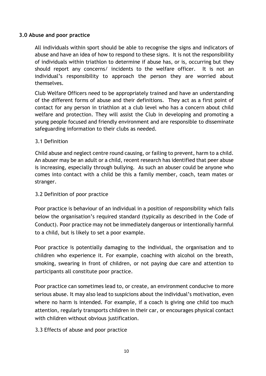#### <span id="page-9-0"></span>**3.0 Abuse and poor practice.**

All individuals within sport should be able to recognise the signs and indicators of abuse and have an idea of how to respond to these signs. It is not the responsibility of individuals within triathlon to determine if abuse has, or is, occurring but they should report any concerns/ incidents to the welfare officer. It is not an individual's responsibility to approach the person they are worried about themselves.

Club Welfare Officers need to be appropriately trained and have an understanding of the different forms of abuse and their definitions. They act as a first point of contact for any person in triathlon at a club level who has a concern about child welfare and protection. They will assist the Club in developing and promoting a young people focused and friendly environment and are responsible to disseminate safeguarding information to their clubs as needed.

#### <span id="page-9-1"></span>3.1 Definition..

Child abuse and neglect centre round causing, or failing to prevent, harm to a child. An abuser may be an adult or a child, recent research has identified that peer abuse is increasing, especially through bullying. As such an abuser could be anyone who comes into contact with a child be this a family member, coach, team mates or stranger.

#### <span id="page-9-2"></span>3.2 Definition of poor practice.

Poor practice is behaviour of an individual in a position of responsibility which falls below the organisation's required standard (typically as described in the Code of Conduct). Poor practice may not be immediately dangerous or intentionally harmful to a child, but is likely to set a poor example.

Poor practice is potentially damaging to the individual, the organisation and to children who experience it. For example, coaching with alcohol on the breath, smoking, swearing in front of children, or not paying due care and attention to participants all constitute poor practice.

Poor practice can sometimes lead to, or create, an environment conducive to more serious abuse. It may also lead to suspicions about the individual's motivation, even where no harm is intended. For example, if a coach is giving one child too much attention, regularly transports children in their car, or encourages physical contact with children without obvious justification.

#### <span id="page-9-3"></span>3.3 Effects of abuse and poor practice.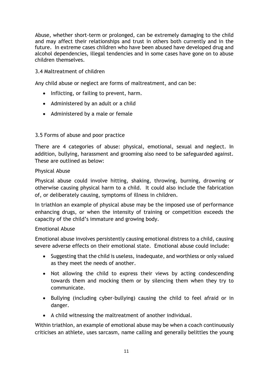Abuse, whether short-term or prolonged, can be extremely damaging to the child and may affect their relationships and trust in others both currently and in the future. In extreme cases children who have been abused have developed drug and alcohol dependencies, illegal tendencies and in some cases have gone on to abuse children themselves.

#### <span id="page-10-0"></span>3.4 Maltreatment of children.

Any child abuse or neglect are forms of maltreatment, and can be:

- Inflicting, or failing to prevent, harm.
- Administered by an adult or a child
- Administered by a male or female

#### <span id="page-10-1"></span>3.5 Forms of abuse and poor practice.

There are 4 categories of abuse: physical, emotional, sexual and neglect. In addition, bullying, harassment and grooming also need to be safeguarded against. These are outlined as below:

#### Physical Abuse.

Physical abuse could involve hitting, shaking, throwing, burning, drowning or otherwise causing physical harm to a child. It could also include the fabrication of, or deliberately causing, symptoms of illness in children.

In triathlon an example of physical abuse may be the imposed use of performance enhancing drugs, or when the intensity of training or competition exceeds the capacity of the child's immature and growing body.

#### Emotional Abuse.

Emotional abuse involves persistently causing emotional distress to a child, causing severe adverse effects on their emotional state. Emotional abuse could include:

- Suggesting that the child is useless, inadequate, and worthless or only valued as they meet the needs of another.
- Not allowing the child to express their views by acting condescending towards them and mocking them or by silencing them when they try to communicate.
- Bullying (including cyber-bullying) causing the child to feel afraid or in danger.
- A child witnessing the maltreatment of another individual.

Within triathlon, an example of emotional abuse may be when a coach continuously criticises an athlete, uses sarcasm, name calling and generally belittles the young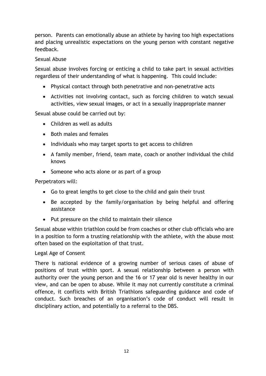person. Parents can emotionally abuse an athlete by having too high expectations and placing unrealistic expectations on the young person with constant negative feedback.

#### Sexual Abuse

Sexual abuse involves forcing or enticing a child to take part in sexual activities regardless of their understanding of what is happening. This could include:

- Physical contact through both penetrative and non-penetrative acts
- Activities not involving contact, such as forcing children to watch sexual activities, view sexual images, or act in a sexually inappropriate manner

Sexual abuse could be carried out by:

- Children as well as adults
- Both males and females
- Individuals who may target sports to get access to children
- A family member, friend, team mate, coach or another individual the child knows
- Someone who acts alone or as part of a group

Perpetrators will:

- Go to great lengths to get close to the child and gain their trust
- Be accepted by the family/organisation by being helpful and offering assistance
- Put pressure on the child to maintain their silence

Sexual abuse within triathlon could be from coaches or other club officials who are in a position to form a trusting relationship with the athlete, with the abuse most often based on the exploitation of that trust.

#### Legal Age of Consent

There is national evidence of a growing number of serious cases of abuse of positions of trust within sport. A sexual relationship between a person with authority over the young person and the 16 or 17 year old is never healthy in our view, and can be open to abuse. While it may not currently constitute a criminal offence, it conflicts with British Triathlons safeguarding guidance and code of conduct. Such breaches of an organisation's code of conduct will result in disciplinary action, and potentially to a referral to the DBS.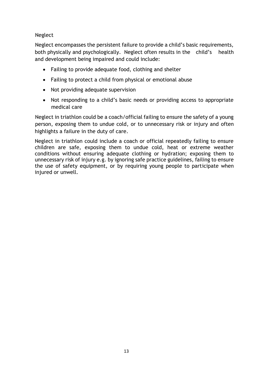#### Neglect

Neglect encompasses the persistent failure to provide a child's basic requirements, both physically and psychologically. Neglect often results in the child's health and development being impaired and could include:

- Failing to provide adequate food, clothing and shelter
- Failing to protect a child from physical or emotional abuse
- Not providing adequate supervision
- Not responding to a child's basic needs or providing access to appropriate medical care

Neglect in triathlon could be a coach/official failing to ensure the safety of a young person, exposing them to undue cold, or to unnecessary risk or injury and often highlights a failure in the duty of care.

Neglect in triathlon could include a coach or official repeatedly failing to ensure children are safe, exposing them to undue cold, heat or extreme weather conditions without ensuring adequate clothing or hydration; exposing them to unnecessary risk of injury e.g. by ignoring safe practice guidelines, failing to ensure the use of safety equipment, or by requiring young people to participate when injured or unwell.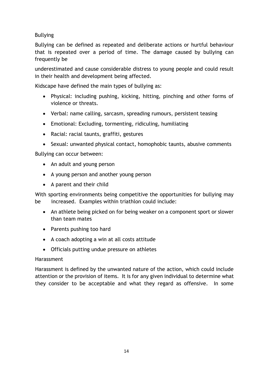Bullying

Bullying can be defined as repeated and deliberate actions or hurtful behaviour that is repeated over a period of time. The damage caused by bullying can frequently be

underestimated and cause considerable distress to young people and could result in their health and development being affected.

Kidscape have defined the main types of bullying as:

- Physical: including pushing, kicking, hitting, pinching and other forms of violence or threats.
- Verbal: name calling, sarcasm, spreading rumours, persistent teasing
- Emotional: Excluding, tormenting, ridiculing, humiliating
- Racial: racial taunts, graffiti, gestures
- Sexual: unwanted physical contact, homophobic taunts, abusive comments

Bullying can occur between:

- An adult and young person
- A young person and another young person
- A parent and their child

With sporting environments being competitive the opportunities for bullying may be increased. Examples within triathlon could include:

- An athlete being picked on for being weaker on a component sport or slower than team mates
- Parents pushing too hard
- A coach adopting a win at all costs attitude
- Officials putting undue pressure on athletes

#### **Harassment**

Harassment is defined by the unwanted nature of the action, which could include attention or the provision of items. It is for any given individual to determine what they consider to be acceptable and what they regard as offensive. In some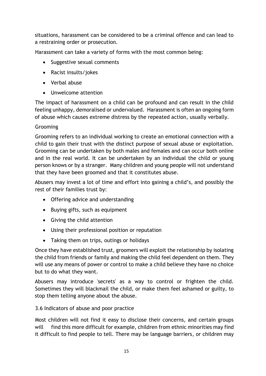situations, harassment can be considered to be a criminal offence and can lead to a restraining order or prosecution.

Harassment can take a variety of forms with the most common being:

- Suggestive sexual comments
- Racist insults/jokes
- Verbal abuse
- Unwelcome attention

The impact of harassment on a child can be profound and can result in the child feeling unhappy, demoralised or undervalued. Harassment is often an ongoing form of abuse which causes extreme distress by the repeated action, usually verbally.

# Grooming

Grooming refers to an individual working to create an emotional connection with a child to gain their trust with the distinct purpose of sexual abuse or exploitation. Grooming can be undertaken by both males and females and can occur both online and in the real world. It can be undertaken by an individual the child or young person knows or by a stranger. Many children and young people will not understand that they have been groomed and that it constitutes abuse.

Abusers may invest a lot of time and effort into gaining a child's, and possibly the rest of their families trust by:

- Offering advice and understanding
- Buying gifts, such as equipment
- Giving the child attention
- Using their professional position or reputation
- Taking them on trips, outings or holidays

Once they have established trust, groomers will exploit the relationship by isolating the child from friends or family and making the child feel dependent on them. They will use any means of power or control to make a child believe they have no choice but to do what they want.

Abusers may introduce 'secrets' as a way to control or frighten the child. Sometimes they will blackmail the child, or make them feel ashamed or guilty, to stop them telling anyone about the abuse.

# <span id="page-14-0"></span>3.6 Indicators of abuse and poor practice

Most children will not find it easy to disclose their concerns, and certain groups will find this more difficult for example, children from ethnic minorities may find it difficult to find people to tell. There may be language barriers, or children may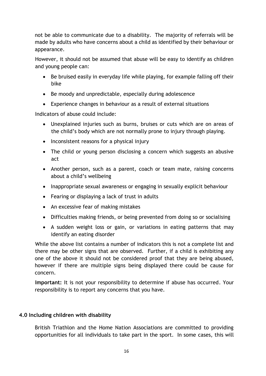not be able to communicate due to a disability. The majority of referrals will be made by adults who have concerns about a child as identified by their behaviour or appearance.

However, it should not be assumed that abuse will be easy to identify as children and young people can:

- Be bruised easily in everyday life while playing, for example falling off their bike
- Be moody and unpredictable, especially during adolescence
- Experience changes in behaviour as a result of external situations

Indicators of abuse could include:

- Unexplained injuries such as burns, bruises or cuts which are on areas of the child's body which are not normally prone to injury through playing.
- Inconsistent reasons for a physical injury
- The child or young person disclosing a concern which suggests an abusive act
- Another person, such as a parent, coach or team mate, raising concerns about a child's wellbeing
- Inappropriate sexual awareness or engaging in sexually explicit behaviour
- Fearing or displaying a lack of trust in adults
- An excessive fear of making mistakes
- Difficulties making friends, or being prevented from doing so or socialising
- A sudden weight loss or gain, or variations in eating patterns that may identify an eating disorder

While the above list contains a number of indicators this is not a complete list and there may be other signs that are observed. Further, if a child is exhibiting any one of the above it should not be considered proof that they are being abused, however if there are multiple signs being displayed there could be cause for concern.

**Important:** It is not your responsibility to determine if abuse has occurred. Your responsibility is to report any concerns that you have.

# <span id="page-15-0"></span>**4.0 Including children with disability**

British Triathlon and the Home Nation Associations are committed to providing opportunities for all individuals to take part in the sport. In some cases, this will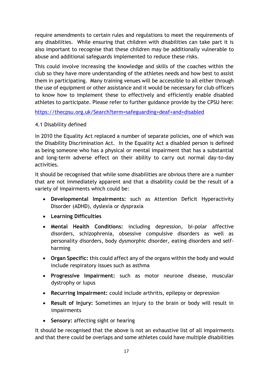require amendments to certain rules and regulations to meet the requirements of any disabilities. While ensuring that children with disabilities can take part it is also important to recognise that these children may be additionally vulnerable to abuse and additional safeguards implemented to reduce these risks.

This could involve increasing the knowledge and skills of the coaches within the club so they have more understanding of the athletes needs and how best to assist them in participating. Many training venues will be accessible to all either through the use of equipment or other assistance and it would be necessary for club officers to know how to implement these to effectively and efficiently enable disabled athletes to participate. Please refer to further guidance provide by the CPSU here:

<https://thecpsu.org.uk/Search?term=safeguarding+deaf+and+disabled>

#### <span id="page-16-0"></span>4.1 Disability defined

In 2010 the Equality Act replaced a number of separate policies, one of which was the Disability Discrimination Act. In the Equality Act a disabled person is defined as being someone who has a physical or mental impairment that has a substantial and long-term adverse effect on their ability to carry out normal day-to-day activities.

It should be recognised that while some disabilities are obvious there are a number that are not immediately apparent and that a disability could be the result of a variety of impairments which could be:

- **Developmental Impairments:** such as Attention Deficit Hyperactivity Disorder (ADHD), dyslexia or dyspraxia
- **Learning Difficulties**
- **Mental Health Conditions:** including depression, bi-polar affective disorders, schizophrenia, obsessive compulsive disorders as well as personality disorders, body dysmorphic disorder, eating disorders and selfharming
- **Organ Specific:** this could affect any of the organs within the body and would include respiratory issues such as asthma
- **Progressive Impairment:** such as motor neurone disease, muscular dystrophy or lupus
- **Recurring Impairment:** could include arthritis, epilepsy or depression
- **Result of Injury:** Sometimes an injury to the brain or body will result in impairments
- **Sensory:** affecting sight or hearing

It should be recognised that the above is not an exhaustive list of all impairments and that there could be overlaps and some athletes could have multiple disabilities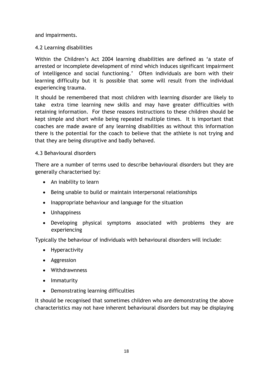and impairments.

#### <span id="page-17-0"></span>4.2 Learning disabilities

Within the Children's Act 2004 learning disabilities are defined as 'a state of arrested or incomplete development of mind which induces significant impairment of intelligence and social functioning.' Often individuals are born with their learning difficulty but it is possible that some will result from the individual experiencing trauma.

It should be remembered that most children with learning disorder are likely to take extra time learning new skills and may have greater difficulties with retaining information. For these reasons instructions to these children should be kept simple and short while being repeated multiple times. It is important that coaches are made aware of any learning disabilities as without this information there is the potential for the coach to believe that the athlete is not trying and that they are being disruptive and badly behaved.

#### <span id="page-17-1"></span>4.3 Behavioural disorders

There are a number of terms used to describe behavioural disorders but they are generally characterised by:

- An inability to learn
- Being unable to build or maintain interpersonal relationships
- Inappropriate behaviour and language for the situation
- Unhappiness
- Developing physical symptoms associated with problems they are experiencing

Typically the behaviour of individuals with behavioural disorders will include:

- Hyperactivity
- Aggression
- Withdrawnness
- Immaturity
- Demonstrating learning difficulties

It should be recognised that sometimes children who are demonstrating the above characteristics may not have inherent behavioural disorders but may be displaying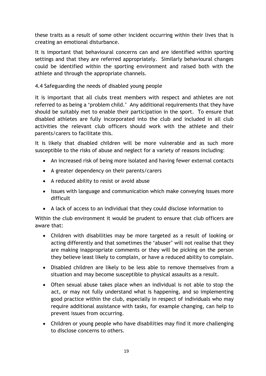these traits as a result of some other incident occurring within their lives that is creating an emotional disturbance.

It is important that behavioural concerns can and are identified within sporting settings and that they are referred appropriately. Similarly behavioural changes could be identified within the sporting environment and raised both with the athlete and through the appropriate channels.

<span id="page-18-0"></span>4.4 Safeguarding the needs of disabled young people

It is important that all clubs treat members with respect and athletes are not referred to as being a 'problem child.' Any additional requirements that they have should be suitably met to enable their participation in the sport. To ensure that disabled athletes are fully incorporated into the club and included in all club activities the relevant club officers should work with the athlete and their parents/carers to facilitate this.

It is likely that disabled children will be more vulnerable and as such more susceptible to the risks of abuse and neglect for a variety of reasons including:

- An increased risk of being more isolated and having fewer external contacts
- A greater dependency on their parents/carers
- A reduced ability to resist or avoid abuse
- Issues with language and communication which make conveying issues more difficult
- A lack of access to an individual that they could disclose information to

Within the club environment it would be prudent to ensure that club officers are aware that:

- Children with disabilities may be more targeted as a result of looking or acting differently and that sometimes the 'abuser' will not realise that they are making inappropriate comments or they will be picking on the person they believe least likely to complain, or have a reduced ability to complain.
- Disabled children are likely to be less able to remove themselves from a situation and may become susceptible to physical assaults as a result.
- Often sexual abuse takes place when an individual is not able to stop the act, or may not fully understand what is happening, and so implementing good practice within the club, especially in respect of individuals who may require additional assistance with tasks, for example changing, can help to prevent issues from occurring.
- Children or young people who have disabilities may find it more challenging to disclose concerns to others.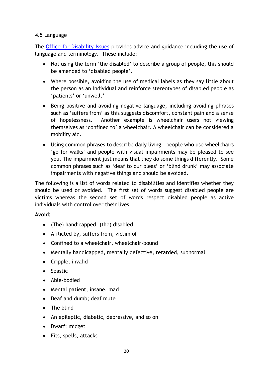#### <span id="page-19-0"></span>4.5 Language

The [Office for Disability Issues](http://webarchive.nationalarchives.gov.uk/20130812104657/http:/odi.dwp.gov.uk/inclusive-communications/representation/language.php) provides advice and guidance including the use of language and terminology. These include:

- Not using the term 'the disabled' to describe a group of people, this should be amended to 'disabled people'.
- Where possible, avoiding the use of medical labels as they say little about the person as an individual and reinforce stereotypes of disabled people as 'patients' or 'unwell.'
- Being positive and avoiding negative language, including avoiding phrases such as 'suffers from' as this suggests discomfort, constant pain and a sense of hopelessness. Another example is wheelchair users not viewing themselves as 'confined to' a wheelchair. A wheelchair can be considered a mobility aid.
- Using common phrases to describe daily living people who use wheelchairs 'go for walks' and people with visual impairments may be pleased to see you. The impairment just means that they do some things differently. Some common phrases such as 'deaf to our pleas' or 'blind drunk' may associate impairments with negative things and should be avoided.

The following is a list of words related to disabilities and identifies whether they should be used or avoided. The first set of words suggest disabled people are victims whereas the second set of words respect disabled people as active individuals with control over their lives

#### **Avoid:**

- (The) handicapped, (the) disabled
- Afflicted by, suffers from, victim of
- Confined to a wheelchair, wheelchair-bound
- Mentally handicapped, mentally defective, retarded, subnormal
- Cripple, invalid
- Spastic
- Able-bodied
- Mental patient, insane, mad
- Deaf and dumb; deaf mute
- The blind
- An epileptic, diabetic, depressive, and so on
- Dwarf; midget
- Fits, spells, attacks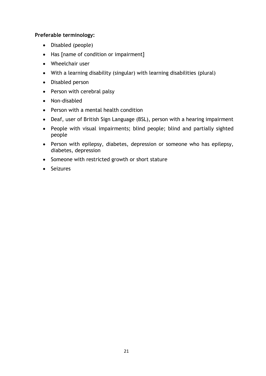#### **Preferable terminology:**

- Disabled (people)
- Has [name of condition or impairment]
- Wheelchair user
- With a learning disability (singular) with learning disabilities (plural)
- Disabled person
- Person with cerebral palsy
- Non-disabled
- Person with a mental health condition
- Deaf, user of British Sign Language (BSL), person with a hearing impairment
- People with visual impairments; blind people; blind and partially sighted people
- Person with epilepsy, diabetes, depression or someone who has epilepsy, diabetes, depression
- Someone with restricted growth or short stature
- Seizures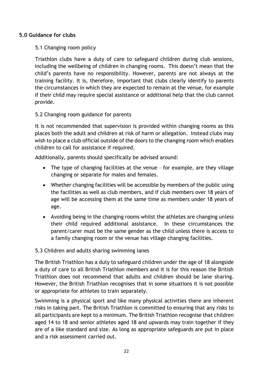#### <span id="page-21-0"></span>**5.0 Guidance for clubs**

#### <span id="page-21-1"></span>5.1 Changing room policy

Triathlon clubs have a duty of care to safeguard children during club sessions, including the wellbeing of children in changing rooms. This doesn't mean that the child's parents have no responsibility. However, parents are not always at the training facility. It is, therefore, important that clubs clearly identify to parents the circumstances in which they are expected to remain at the venue, for example if their child may require special assistance or additional help that the club cannot provide.

#### <span id="page-21-2"></span>5.2 Changing room guidance for parents

It is not recommended that supervision is provided within changing rooms as this places both the adult and children at risk of harm or allegation. Instead clubs may wish to place a club official outside of the doors to the changing room which enables children to call for assistance if required.

Additionally, parents should specifically be advised around:

- The type of changing facilities at the venue for example, are they village changing or separate for males and females.
- Whether changing facilities will be accessible by members of the public using the facilities as well as club members, and if club members over 18 years of age will be accessing them at the same time as members under 18 years of age.
- Avoiding being in the changing rooms whilst the athletes are changing unless their child required additional assistance. In these circumstances the parent/carer must be the same gender as the child unless there is access to a family changing room or the venue has village changing facilities.

#### <span id="page-21-3"></span>5.3 Children and adults sharing swimming lanes

The British Triathlon has a duty to safeguard children under the age of 18 alongside a duty of care to all British Triathlon members and it is for this reason the British Triathlon does not recommend that adults and children should be lane sharing. However, the British Triathlon recognises that in some situations it is not possible or appropriate for athletes to train separately.

Swimming is a physical sport and like many physical activities there are inherent risks in taking part. The British Triathlon is committed to ensuring that any risks to all participants are kept to a minimum. The British Triathlon recognise that children aged 14 to 18 and senior athletes aged 18 and upwards may train together if they are of a like standard and size. As long as appropriate safeguards are put in place and a risk assessment carried out.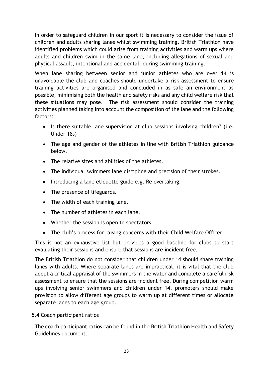In order to safeguard children in our sport it is necessary to consider the issue of children and adults sharing lanes whilst swimming training. British Triathlon have identified problems which could arise from training activities and warm ups where adults and children swim in the same lane, including allegations of sexual and physical assault, intentional and accidental, during swimming training.

When lane sharing between senior and junior athletes who are over 14 is unavoidable the club and coaches should undertake a risk assessment to ensure training activities are organised and concluded in as safe an environment as possible, minimising both the health and safety risks and any child welfare risk that these situations may pose. The risk assessment should consider the training activities planned taking into account the composition of the lane and the following factors:

- Is there suitable lane supervision at club sessions involving children? (i.e. Under 18s)
- The age and gender of the athletes in line with British Triathlon guidance below.
- The relative sizes and abilities of the athletes.
- The individual swimmers lane discipline and precision of their strokes.
- Introducing a lane etiquette guide e.g. Re overtaking.
- The presence of lifeguards.
- The width of each training lane.
- The number of athletes in each lane.
- Whether the session is open to spectators.
- The club's process for raising concerns with their Child Welfare Officer

This is not an exhaustive list but provides a good baseline for clubs to start evaluating their sessions and ensure that sessions are incident free.

The British Triathlon do not consider that children under 14 should share training lanes with adults. Where separate lanes are impractical, it is vital that the club adopt a critical appraisal of the swimmers in the water and complete a careful risk assessment to ensure that the sessions are incident free. During competition warm ups involving senior swimmers and children under 14, promoters should make provision to allow different age groups to warm up at different times or allocate separate lanes to each age group.

# <span id="page-22-0"></span>5.4 Coach participant ratios

The coach participant ratios can be found in the [British Triathlon Health and Safety](http://www.triathlonengland.org/england/documents/coaching/coaching_health_and_safety_guidelines_for_triathlon_2015.pdf)  [Guidelines document.](http://www.triathlonengland.org/england/documents/coaching/coaching_health_and_safety_guidelines_for_triathlon_2015.pdf)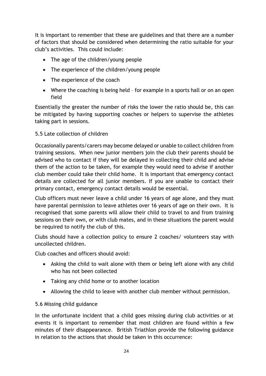It is important to remember that these are guidelines and that there are a number of factors that should be considered when determining the ratio suitable for your club's activities. This could include:

- The age of the children/young people
- The experience of the children/young people
- The experience of the coach
- Where the coaching is being held for example in a sports hall or on an open field

Essentially the greater the number of risks the lower the ratio should be, this can be mitigated by having supporting coaches or helpers to supervise the athletes taking part in sessions.

# <span id="page-23-0"></span>5.5 Late collection of children

Occasionally parents/carers may become delayed or unable to collect children from training sessions. When new junior members join the club their parents should be advised who to contact if they will be delayed in collecting their child and advise them of the action to be taken, for example they would need to advise if another club member could take their child home. It is important that emergency contact details are collected for all junior members. If you are unable to contact their primary contact, emergency contact details would be essential.

Club officers must never leave a child under 16 years of age alone, and they must have parental permission to leave athletes over 16 years of age on their own. It is recognised that some parents will allow their child to travel to and from training sessions on their own, or with club mates, and in these situations the parent would be required to notify the club of this.

Clubs should have a collection policy to ensure 2 coaches/ volunteers stay with uncollected children.

Club coaches and officers should avoid:

- Asking the child to wait alone with them or being left alone with any child who has not been collected
- Taking any child home or to another location
- Allowing the child to leave with another club member without permission.

# <span id="page-23-1"></span>5.6 Missing child guidance

In the unfortunate incident that a child goes missing during club activities or at events it is important to remember that most children are found within a few minutes of their disappearance. British Triathlon provide the following guidance in relation to the actions that should be taken in this occurrence: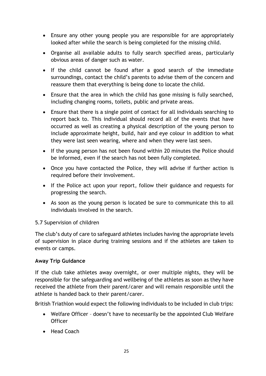- Ensure any other young people you are responsible for are appropriately looked after while the search is being completed for the missing child.
- Organise all available adults to fully search specified areas, particularly obvious areas of danger such as water.
- If the child cannot be found after a good search of the immediate surroundings, contact the child's parents to advise them of the concern and reassure them that everything is being done to locate the child.
- Ensure that the area in which the child has gone missing is fully searched, including changing rooms, toilets, public and private areas.
- Ensure that there is a single point of contact for all individuals searching to report back to. This individual should record all of the events that have occurred as well as creating a physical description of the young person to include approximate height, build, hair and eye colour in addition to what they were last seen wearing, where and when they were last seen.
- If the young person has not been found within 20 minutes the Police should be informed, even if the search has not been fully completed.
- Once you have contacted the Police, they will advise if further action is required before their involvement.
- If the Police act upon your report, follow their guidance and requests for progressing the search.
- As soon as the young person is located be sure to communicate this to all individuals involved in the search.

#### <span id="page-24-0"></span>5.7 Supervision of children

The club's duty of care to safeguard athletes includes having the appropriate levels of supervision in place during training sessions and if the athletes are taken to events or camps.

#### **Away Trip Guidance**

If the club take athletes away overnight, or over multiple nights, they will be responsible for the safeguarding and wellbeing of the athletes as soon as they have received the athlete from their parent/carer and will remain responsible until the athlete is handed back to their parent/carer.

British Triathlon would expect the following individuals to be included in club trips:

- Welfare Officer doesn't have to necessarily be the appointed Club Welfare **Officer**
- Head Coach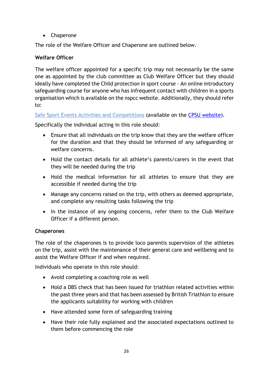Chaperone

The role of the Welfare Officer and Chaperone are outlined below.

# **Welfare Officer**

The welfare officer appointed for a specific trip may not necessarily be the same one as appointed by the club committee as Club Welfare Officer but they should ideally have completed the Child protection in sport course - An online introductory safeguarding course for anyone who has infrequent contact with children in a sports organisation which is available on the nspcc website. Additionally, they should refer to:

Safe Sport [Events Activities and Competitions](https://thecpsu.org.uk/news/2013/april/safe-sport-events-activities-and-competitions/) (available on the [CPSU website\)](https://thecpsu.org.uk/news/2013/april/safe-sport-events-activities-and-competitions/).

Specifically the individual acting in this role should:

- Ensure that all individuals on the trip know that they are the welfare officer for the duration and that they should be informed of any safeguarding or welfare concerns.
- Hold the contact details for all athlete's parents/carers in the event that they will be needed during the trip
- Hold the medical information for all athletes to ensure that they are accessible if needed during the trip
- Manage any concerns raised on the trip, with others as deemed appropriate, and complete any resulting tasks following the trip
- In the instance of any ongoing concerns, refer them to the Club Welfare Officer if a different person.

# **Chaperones**

The role of the chaperones is to provide loco parentis supervision of the athletes on the trip, assist with the maintenance of their general care and wellbeing and to assist the Welfare Officer if and when required.

Individuals who operate in this role should:

- Avoid completing a coaching role as well
- Hold a DBS check that has been issued for triathlon related activities within the past three years and that has been assessed by British Triathlon to ensure the applicants suitability for working with children
- Have attended some form of safeguarding training
- Have their role fully explained and the associated expectations outlined to them before commencing the role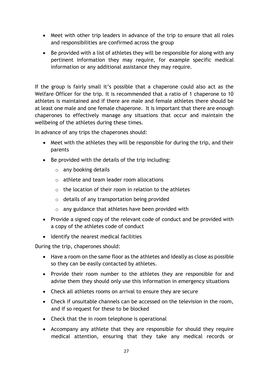- Meet with other trip leaders in advance of the trip to ensure that all roles and responsibilities are confirmed across the group
- Be provided with a list of athletes they will be responsible for along with any pertinent information they may require, for example specific medical information or any additional assistance they may require.

If the group is fairly small it's possible that a chaperone could also act as the Welfare Officer for the trip. It is recommended that a ratio of 1 chaperone to 10 athletes is maintained and if there are male and female athletes there should be at least one male and one female chaperone. It is important that there are enough chaperones to effectively manage any situations that occur and maintain the wellbeing of the athletes during these times.

In advance of any trips the chaperones should:

- Meet with the athletes they will be responsible for during the trip, and their parents
- Be provided with the details of the trip including:
	- o any booking details
	- o athlete and team leader room allocations
	- $\circ$  the location of their room in relation to the athletes
	- $\circ$  details of any transportation being provided
	- o any guidance that athletes have been provided with
- Provide a signed copy of the relevant code of conduct and be provided with a copy of the athletes code of conduct
- Identify the nearest medical facilities

During the trip, chaperones should:

- Have a room on the same floor as the athletes and ideally as close as possible so they can be easily contacted by athletes.
- Provide their room number to the athletes they are responsible for and advise them they should only use this information in emergency situations
- Check all athletes rooms on arrival to ensure they are secure
- Check if unsuitable channels can be accessed on the television in the room, and if so request for these to be blocked
- Check that the in room telephone is operational
- Accompany any athlete that they are responsible for should they require medical attention, ensuring that they take any medical records or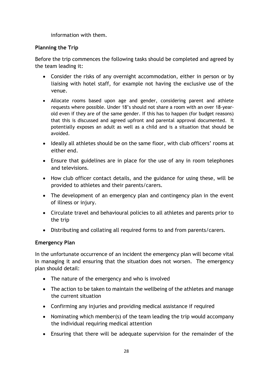information with them.

#### **Planning the Trip**

Before the trip commences the following tasks should be completed and agreed by the team leading it:

- Consider the risks of any overnight accommodation, either in person or by liaising with hotel staff, for example not having the exclusive use of the venue.
- Allocate rooms based upon age and gender, considering parent and athlete requests where possible. Under 18's should not share a room with an over 18-yearold even if they are of the same gender. If this has to happen (for budget reasons) that this is discussed and agreed upfront and parental approval documented. It potentially exposes an adult as well as a child and is a situation that should be avoided.
- Ideally all athletes should be on the same floor, with club officers' rooms at either end.
- Ensure that guidelines are in place for the use of any in room telephones and televisions.
- How club officer contact details, and the guidance for using these, will be provided to athletes and their parents/carers.
- The development of an emergency plan and contingency plan in the event of illness or injury.
- Circulate travel and behavioural policies to all athletes and parents prior to the trip
- Distributing and collating all required forms to and from parents/carers.

#### **Emergency Plan**

In the unfortunate occurrence of an incident the emergency plan will become vital in managing it and ensuring that the situation does not worsen. The emergency plan should detail:

- The nature of the emergency and who is involved
- The action to be taken to maintain the wellbeing of the athletes and manage the current situation
- Confirming any injuries and providing medical assistance if required
- Nominating which member(s) of the team leading the trip would accompany the individual requiring medical attention
- Ensuring that there will be adequate supervision for the remainder of the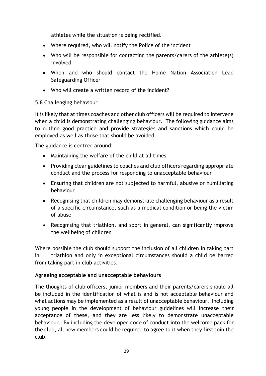athletes while the situation is being rectified.

- Where required, who will notify the Police of the incident
- Who will be responsible for contacting the parents/carers of the athlete(s) involved
- When and who should contact the Home Nation Association Lead Safeguarding Officer
- Who will create a written record of the incident?

# <span id="page-28-0"></span>5.8 Challenging behaviour

It is likely that at times coaches and other club officers will be required to intervene when a child is demonstrating challenging behaviour. The following guidance aims to outline good practice and provide strategies and sanctions which could be employed as well as those that should be avoided.

The guidance is centred around:

- Maintaining the welfare of the child at all times
- Providing clear guidelines to coaches and club officers regarding appropriate conduct and the process for responding to unacceptable behaviour
- Ensuring that children are not subjected to harmful, abusive or humiliating behaviour
- Recognising that children may demonstrate challenging behaviour as a result of a specific circumstance, such as a medical condition or being the victim of abuse
- Recognising that triathlon, and sport in general, can significantly improve the wellbeing of children

Where possible the club should support the inclusion of all children in taking part in triathlon and only in exceptional circumstances should a child be barred from taking part in club activities.

# **Agreeing acceptable and unacceptable behaviours**

The thoughts of club officers, junior members and their parents/carers should all be included in the identification of what is and is not acceptable behaviour and what actions may be implemented as a result of unacceptable behaviour. Including young people in the development of behaviour guidelines will increase their acceptance of these, and they are less likely to demonstrate unacceptable behaviour. By including the developed code of conduct into the welcome pack for the club, all new members could be required to agree to it when they first join the club.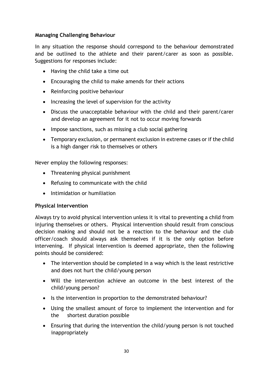#### **Managing Challenging Behaviour**

In any situation the response should correspond to the behaviour demonstrated and be outlined to the athlete and their parent/carer as soon as possible. Suggestions for responses include:

- Having the child take a time out
- Encouraging the child to make amends for their actions
- Reinforcing positive behaviour
- Increasing the level of supervision for the activity
- Discuss the unacceptable behaviour with the child and their parent/carer and develop an agreement for it not to occur moving forwards
- Impose sanctions, such as missing a club social gathering
- Temporary exclusion, or permanent exclusion in extreme cases or if the child is a high danger risk to themselves or others

Never employ the following responses:

- Threatening physical punishment
- Refusing to communicate with the child
- Intimidation or humiliation

#### **Physical Intervention**

Always try to avoid physical intervention unless it is vital to preventing a child from injuring themselves or others. Physical intervention should result from conscious decision making and should not be a reaction to the behaviour and the club officer/coach should always ask themselves if it is the only option before intervening. If physical intervention is deemed appropriate, then the following points should be considered:

- The intervention should be completed in a way which is the least restrictive and does not hurt the child/young person
- Will the intervention achieve an outcome in the best interest of the child/young person?
- Is the intervention in proportion to the demonstrated behaviour?
- Using the smallest amount of force to implement the intervention and for the shortest duration possible
- Ensuring that during the intervention the child/young person is not touched inappropriately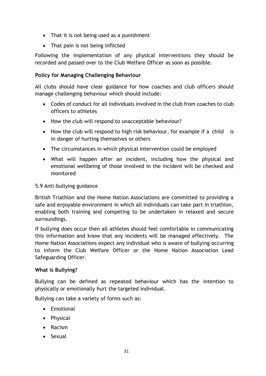- That it is not being used as a punishment
- That pain is not being inflicted

Following the implementation of any physical interventions they should be recorded and passed over to the Club Welfare Officer as soon as possible.

#### **Policy for Managing Challenging Behaviour**

All clubs should have clear guidance for how coaches and club officers should manage challenging behaviour which should include:

- Codes of conduct for all individuals involved in the club from coaches to club officers to athletes
- How the club will respond to unacceptable behaviour?
- How the club will respond to high risk behaviour, for example if a child is in danger of hurting themselves or others
- The circumstances in which physical intervention could be employed
- What will happen after an incident, including how the physical and emotional wellbeing of those involved in the incident will be checked and monitored

#### <span id="page-30-0"></span>5.9 Anti-bullying guidance

British Triathlon and the Home Nation Associations are committed to providing a safe and enjoyable environment in which all individuals can take part in triathlon, enabling both training and competing to be undertaken in relaxed and secure surroundings.

If bullying does occur then all athletes should feel comfortable in communicating this information and know that any incidents will be managed effectively. The Home Nation Associations expect any individual who is aware of bullying occurring to inform the Club Welfare Officer or the Home Nation Association Lead Safeguarding Officer.

#### **What is Bullying?**

Bullying can be defined as repeated behaviour which has the intention to physically or emotionally hurt the targeted individual.

Bullying can take a variety of forms such as:

- Emotional
- Physical
- Racism
- Sexual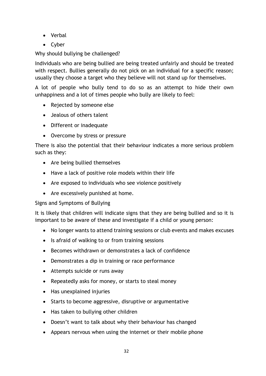- Verbal
- Cyber

Why should bullying be challenged?

Individuals who are being bullied are being treated unfairly and should be treated with respect. Bullies generally do not pick on an individual for a specific reason; usually they choose a target who they believe will not stand up for themselves.

A lot of people who bully tend to do so as an attempt to hide their own unhappiness and a lot of times people who bully are likely to feel:

- Rejected by someone else
- Jealous of others talent
- Different or inadequate
- Overcome by stress or pressure

There is also the potential that their behaviour indicates a more serious problem such as they:

- Are being bullied themselves
- Have a lack of positive role models within their life
- Are exposed to individuals who see violence positively
- Are excessively punished at home.

# Signs and Symptoms of Bullying

It is likely that children will indicate signs that they are being bullied and so it is important to be aware of these and investigate if a child or young person:

- No longer wants to attend training sessions or club events and makes excuses
- Is afraid of walking to or from training sessions
- Becomes withdrawn or demonstrates a lack of confidence
- Demonstrates a dip in training or race performance
- Attempts suicide or runs away
- Repeatedly asks for money, or starts to steal money
- Has unexplained injuries
- Starts to become aggressive, disruptive or argumentative
- Has taken to bullying other children
- Doesn't want to talk about why their behaviour has changed
- Appears nervous when using the internet or their mobile phone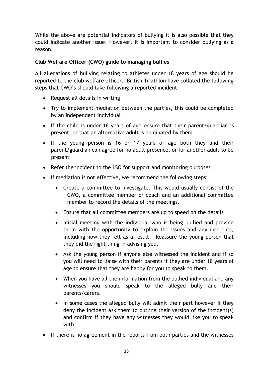While the above are potential indicators of bullying it is also possible that they could indicate another issue. However, it is important to consider bullying as a reason.

# **Club Welfare Officer (CWO) guide to managing bullies**

All allegations of bullying relating to athletes under 18 years of age should be reported to the club welfare officer. British Triathlon have collated the following steps that CWO's should take following a reported incident:

- Request all details in writing
- Try to implement mediation between the parties, this could be completed by an independent individual
- If the child is under 16 years of age ensure that their parent/guardian is present, or that an alternative adult is nominated by them
- If the young person is 16 or 17 years of age both they and their parent/guardian can agree for no adult presence, or for another adult to be present
- Refer the incident to the LSO for support and monitoring purposes
- If mediation is not effective, we recommend the following steps:
	- Create a committee to investigate. This would usually consist of the CWO, a committee member or coach and an additional committee member to record the details of the meetings.
	- Ensure that all committee members are up to speed on the details
	- Initial meeting with the individual who is being bullied and provide them with the opportunity to explain the issues and any incidents, including how they felt as a result. Reassure the young person that they did the right thing in advising you.
	- Ask the young person if anyone else witnessed the incident and if so you will need to liaise with their parents if they are under 18 years of age to ensure that they are happy for you to speak to them.
	- When you have all the information from the bullied individual and any witnesses you should speak to the alleged bully and their parents/carers.
	- In some cases the alleged bully will admit their part however if they deny the incident ask them to outline their version of the incident(s) and confirm if they have any witnesses they would like you to speak with.
- If there is no agreement in the reports from both parties and the witnesses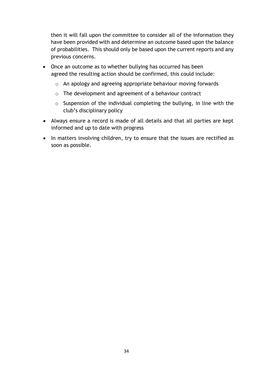then it will fall upon the committee to consider all of the information they have been provided with and determine an outcome based upon the balance of probabilities. This should only be based upon the current reports and any previous concerns.

- Once an outcome as to whether bullying has occurred has been agreed the resulting action should be confirmed, this could include:
	- o An apology and agreeing appropriate behaviour moving forwards
	- o The development and agreement of a behaviour contract
	- $\circ$  Suspension of the individual completing the bullying, in line with the club's disciplinary policy
- Always ensure a record is made of all details and that all parties are kept informed and up to date with progress
- In matters involving children, try to ensure that the issues are rectified as soon as possible.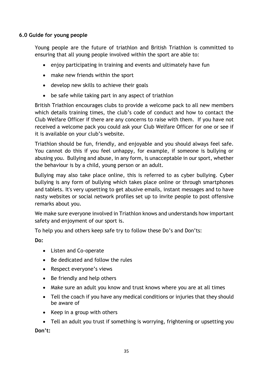#### <span id="page-34-0"></span>**6.0 Guide for young people**

Young people are the future of triathlon and British Triathlon is committed to ensuring that all young people involved within the sport are able to:

- enjoy participating in training and events and ultimately have fun
- make new friends within the sport
- develop new skills to achieve their goals
- be safe while taking part in any aspect of triathlon

British Triathlon encourages clubs to provide a welcome pack to all new members which details training times, the club's code of conduct and how to contact the Club Welfare Officer if there are any concerns to raise with them. If you have not received a welcome pack you could ask your Club Welfare Officer for one or see if it is available on your club's website.

Triathlon should be fun, friendly, and enjoyable and you should always feel safe. You cannot do this if you feel unhappy, for example, if someone is bullying or abusing you. Bullying and abuse, in any form, is unacceptable in our sport, whether the behaviour is by a child, young person or an adult.

Bullying may also take place online, this is referred to as cyber bullying. Cyber bullying is any form of bullying which takes place online or through smartphones and tablets. It's very upsetting to get abusive emails, instant messages and to have nasty websites or social network profiles set up to invite people to post offensive remarks about you.

We make sure everyone involved in Triathlon knows and understands how important safety and enjoyment of our sport is.

To help you and others keep safe try to follow these Do's and Don'ts:

**Do:**

- Listen and Co-operate
- Be dedicated and follow the rules
- Respect everyone's views
- Be friendly and help others
- Make sure an adult you know and trust knows where you are at all times
- Tell the coach if you have any medical conditions or injuries that they should be aware of
- Keep in a group with others

 Tell an adult you trust if something is worrying, frightening or upsetting you **Don't:**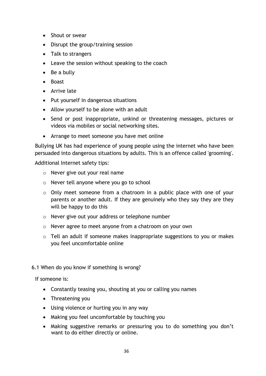- Shout or swear
- Disrupt the group/training session
- Talk to strangers
- Leave the session without speaking to the coach
- Be a bully
- Boast
- Arrive late
- Put yourself in dangerous situations
- Allow yourself to be alone with an adult
- Send or post inappropriate, unkind or threatening messages, pictures or videos via mobiles or social networking sites.
- Arrange to meet someone you have met online

Bullying UK has had experience of young people using the internet who have been persuaded into dangerous situations by adults. This is an offence called 'grooming'.

Additional Internet safety tips:

- o Never give out your real name
- o Never tell anyone where you go to school
- o Only meet someone from a chatroom in a public place with one of your parents or another adult. If they are genuinely who they say they are they will be happy to do this
- o Never give out your address or telephone number
- o Never agree to meet anyone from a chatroom on your own
- o Tell an adult if someone makes inappropriate suggestions to you or makes you feel uncomfortable online
- <span id="page-35-0"></span>6.1 When do you know if something is wrong?

If someone is:

- Constantly teasing you, shouting at you or calling you names
- Threatening you
- Using violence or hurting you in any way
- Making you feel uncomfortable by touching you
- Making suggestive remarks or pressuring you to do something you don't want to do either directly or online.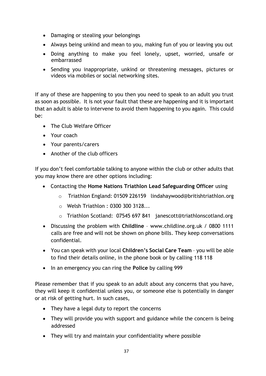- Damaging or stealing your belongings
- Always being unkind and mean to you, making fun of you or leaving you out
- Doing anything to make you feel lonely, upset, worried, unsafe or embarrassed
- Sending you inappropriate, unkind or threatening messages, pictures or videos via mobiles or social networking sites.

If any of these are happening to you then you need to speak to an adult you trust as soon as possible. It is not your fault that these are happening and it is important that an adult is able to intervene to avoid them happening to you again. This could be:

- The Club Welfare Officer
- Your coach
- Your parents/carers
- Another of the club officers

If you don't feel comfortable talking to anyone within the club or other adults that you may know there are other options including:

- Contacting the **Home Nations Triathlon Lead Safeguarding Officer** using
	- o Triathlon England: 01509 226159 lindahaywood@britishtriathlon.org
	- o Welsh Triathlon : 0300 300 3128...
	- o Triathlon Scotland: 07545 697 841 janescott@triathlonscotland.org
- Discussing the problem with **Childline** www.childline.org.uk / 0800 1111 calls are free and will not be shown on phone bills. They keep conversations confidential.
- You can speak with your local **Children's Social Care Team**  you will be able to find their details online, in the phone book or by calling 118 118
- In an emergency you can ring the **Police** by calling 999

Please remember that if you speak to an adult about any concerns that you have, they will keep it confidential unless you, or someone else is potentially in danger or at risk of getting hurt. In such cases,

- They have a legal duty to report the concerns
- They will provide you with support and guidance while the concern is being addressed
- They will try and maintain your confidentiality where possible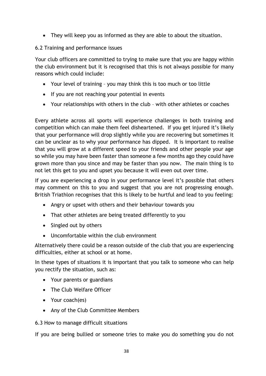They will keep you as informed as they are able to about the situation.

# 6.2 Training and performance issues

Your club officers are committed to trying to make sure that you are happy within the club environment but it is recognised that this is not always possible for many reasons which could include:

- Your level of training you may think this is too much or too little
- If you are not reaching your potential in events
- Your relationships with others in the club with other athletes or coaches

Every athlete across all sports will experience challenges in both training and competition which can make them feel disheartened. If you get injured it's likely that your performance will drop slightly while you are recovering but sometimes it can be unclear as to why your performance has dipped. It is important to realise that you will grow at a different speed to your friends and other people your age so while you may have been faster than someone a few months ago they could have grown more than you since and may be faster than you now. The main thing is to not let this get to you and upset you because it will even out over time.

If you are experiencing a drop in your performance level it's possible that others may comment on this to you and suggest that you are not progressing enough. British Triathlon recognises that this is likely to be hurtful and lead to you feeling:

- Angry or upset with others and their behaviour towards you
- That other athletes are being treated differently to you
- Singled out by others
- Uncomfortable within the club environment

Alternatively there could be a reason outside of the club that you are experiencing difficulties, either at school or at home.

In these types of situations it is important that you talk to someone who can help you rectify the situation, such as:

- Your parents or guardians
- The Club Welfare Officer
- Your coach(es)
- Any of the Club Committee Members
- 6.3 How to manage difficult situations

If you are being bullied or someone tries to make you do something you do not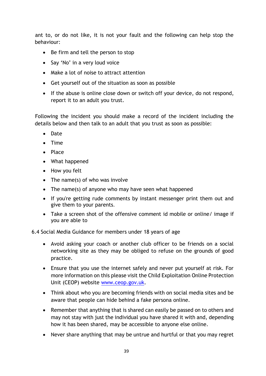ant to, or do not like, it is not your fault and the following can help stop the behaviour:

- Be firm and tell the person to stop
- Say 'No' in a very loud voice
- Make a lot of noise to attract attention
- Get yourself out of the situation as soon as possible
- If the abuse is online close down or switch off your device, do not respond, report it to an adult you trust.

Following the incident you should make a record of the incident including the details below and then talk to an adult that you trust as soon as possible:

- Date
- $\bullet$  Time
- Place
- What happened
- How you felt
- The name(s) of who was involve
- The name(s) of anyone who may have seen what happened
- If you're getting rude comments by instant messenger print them out and give them to your parents.
- Take a screen shot of the offensive comment id mobile or online/ image if you are able to

6.4 Social Media Guidance for members under 18 years of age

- Avoid asking your coach or another club officer to be friends on a social networking site as they may be obliged to refuse on the grounds of good practice.
- Ensure that you use the internet safely and never put yourself at risk. For more information on this please visit the Child Exploitation Online Protection Unit (CEOP) website [www.ceop.gov.uk.](http://www.ceop.gov.uk/)
- Think about who you are becoming friends with on social media sites and be aware that people can hide behind a fake persona online.
- Remember that anything that is shared can easily be passed on to others and may not stay with just the individual you have shared it with and, depending how it has been shared, may be accessible to anyone else online.
- Never share anything that may be untrue and hurtful or that you may regret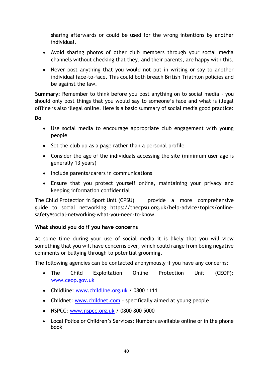sharing afterwards or could be used for the wrong intentions by another individual.

- Avoid sharing photos of other club members through your social media channels without checking that they, and their parents, are happy with this.
- Never post anything that you would not put in writing or say to another individual face-to-face. This could both breach British Triathlon policies and be against the law.

**Summary:** Remember to think before you post anything on to social media – you should only post things that you would say to someone's face and what is illegal offline is also illegal online. Here is a basic summary of social media good practice:

**Do**

- Use social media to encourage appropriate club engagement with young people
- Set the club up as a page rather than a personal profile
- Consider the age of the individuals accessing the site (minimum user age is generally 13 years)
- Include parents/carers in communications
- Ensure that you protect yourself online, maintaining your privacy and keeping information confidential

The Child Protection in Sport Unit (CPSU) provide a more comprehensive guide to social networking https://thecpsu.org.uk/help-advice/topics/onlinesafety#social-networking-what-you-need-to-know.

# **What should you do if you have concerns**

At some time during your use of social media it is likely that you will view something that you will have concerns over, which could range from being negative comments or bullying through to potential grooming.

The following agencies can be contacted anonymously if you have any concerns:

- The Child Exploitation Online Protection Unit (CEOP): [www.ceop.gov.uk](http://www.ceop.gov.uk/)
- Childline: [www.childline.org.uk](http://www.childline.org.uk/) / 0800 1111
- Childnet: [www.childnet.com](http://www.childnet.com/) specifically aimed at young people
- NSPCC: [www.nspcc.org.uk](http://www.nspcc.org.uk/) / 0800 800 5000
- Local Police or Children's Services: Numbers available online or in the phone book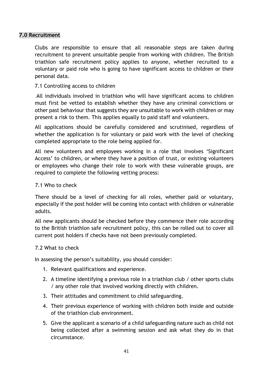#### **7.0 Recruitment**

Clubs are responsible to ensure that all reasonable steps are taken during recruitment to prevent unsuitable people from working with children. The British triathlon safe recruitment policy applies to anyone, whether recruited to a voluntary or paid role who is going to have significant access to children or their personal data.

## 7.1 Controlling access to children

All individuals involved in triathlon who will have significant access to children must first be vetted to establish whether they have any criminal convictions or other past behaviour that suggests they are unsuitable to work with children or may present a risk to them. This applies equally to paid staff and volunteers.

All applications should be carefully considered and scrutinised, regardless of whether the application is for voluntary or paid work with the level of checking completed appropriate to the role being applied for.

All new volunteers and employees working in a role that involves 'Significant Access' to children, or where they have a position of trust, or existing volunteers or employees who change their role to work with these vulnerable groups, are required to complete the following vetting process:

#### 7.1 Who to check

There should be a level of checking for all roles, whether paid or voluntary, especially if the post holder will be coming into contact with children or vulnerable adults.

All new applicants should be checked before they commence their role according to the British triathlon safe recruitment policy, this can be rolled out to cover all current post holders if checks have not been previously completed.

#### 7.2 What to check

In assessing the person's suitability, you should consider:

- 1. Relevant qualifications and experience.
- 2. A timeline identifying a previous role in a triathlon club / other sports clubs / any other role that involved working directly with children.
- 3. Their attitudes and commitment to child safeguarding.
- 4. Their previous experience of working with children both inside and outside of the triathlon club environment.
- 5. Give the applicant a scenario of a child safeguarding nature such as child not being collected after a swimming session and ask what they do in that circumstance.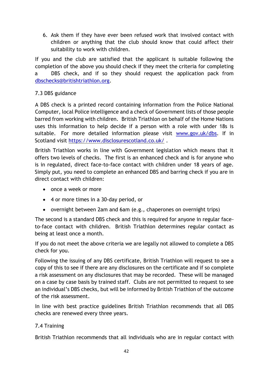6. Ask them if they have ever been refused work that involved contact with children or anything that the club should know that could affect their suitability to work with children.

If you and the club are satisfied that the applicant is suitable following the completion of the above you should check if they meet the criteria for completing a DBS check, and if so they should request the application pack from [dbschecks@britishtriathlon.org.](mailto:dbschecks@triathlonengland.org)

# 7.3 DBS guidance

A DBS check is a printed record containing information from the Police National Computer, local Police intelligence and a check of Government lists of those people barred from working with children. British Triathlon on behalf of the Home Nations uses this information to help decide if a person with a role with under 18s is suitable. For more detailed information please visit [www.gov.uk/dbs.](http://www.gov.uk/dbs) If in Scotland visit<https://www.disclosurescotland.co.uk/> .

British Triathlon works in line with Government legislation which means that it offers two levels of checks. The first is an enhanced check and is for anyone who is in regulated, direct face-to-face contact with children under 18 years of age. Simply put, you need to complete an enhanced DBS and barring check if you are in direct contact with children:

- once a week or more
- 4 or more times in a 30-day period, or
- overnight between 2am and 6am (e.g., chaperones on overnight trips)

The second is a standard DBS check and this is required for anyone in regular faceto-face contact with children. British Triathlon determines regular contact as being at least once a month.

If you do not meet the above criteria we are legally not allowed to complete a DBS check for you.

Following the issuing of any DBS certificate, British Triathlon will request to see a copy of this to see if there are any disclosures on the certificate and if so complete a risk assessment on any disclosures that may be recorded. These will be managed on a case by case basis by trained staff. Clubs are not permitted to request to see an individual's DBS checks, but will be informed by British Triathlon of the outcome of the risk assessment.

In line with best practice guidelines British Triathlon recommends that all DBS checks are renewed every three years.

# 7.4 Training

British Triathlon recommends that all individuals who are in regular contact with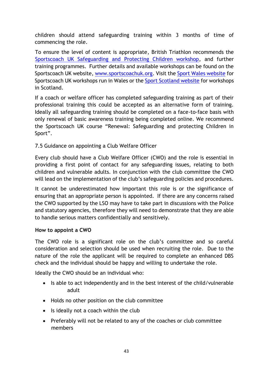children should attend safeguarding training within 3 months of time of commencing the role.

To ensure the level of content is appropriate, British Triathlon recommends the [Sportscoach UK Safeguarding and Protecting Children workshop,](http://www.sportscoachuk.org/site-tools/workshops/about-our-workshops/safeguarding-and-protecting-children) and further training programmes. Further details and available workshops can be found on the Sportscoach UK website, [www.sportscoachuk.org.](http://www.sportscoachuk.org/) Visit the [Sport Wales website](http://sport.wales/coaching/coaching/book-a-coaching-workshop.aspx) for Sportscoach UK workshops run in Wales or the [Sport Scotland website](http://www.sportscotland.org.uk/coaching.aspx) for workshops in Scotland.

If a coach or welfare officer has completed safeguarding training as part of their professional training this could be accepted as an alternative form of training. Ideally all safeguarding training should be completed on a face-to-face basis with only renewal of basic awareness training being completed online. We recommend the Sportscoach UK course "Renewal: Safeguarding and protecting Children in Sport".

# 7.5 Guidance on appointing a Club Welfare Officer

Every club should have a Club Welfare Officer (CWO) and the role is essential in providing a first point of contact for any safeguarding issues, relating to both children and vulnerable adults. In conjunction with the club committee the CWO will lead on the implementation of the club's safeguarding policies and procedures.

It cannot be underestimated how important this role is or the significance of ensuring that an appropriate person is appointed. If there are any concerns raised the CWO supported by the LSO may have to take part in discussions with the Police and statutory agencies, therefore they will need to demonstrate that they are able to handle serious matters confidentially and sensitively.

## **How to appoint a CWO**

The CWO role is a significant role on the club's committee and so careful consideration and selection should be used when recruiting the role. Due to the nature of the role the applicant will be required to complete an enhanced DBS check and the individual should be happy and willing to undertake the role.

Ideally the CWO should be an individual who:

- Is able to act independently and in the best interest of the child/vulnerable adult
- Holds no other position on the club committee
- Is ideally not a coach within the club
- Preferably will not be related to any of the coaches or club committee members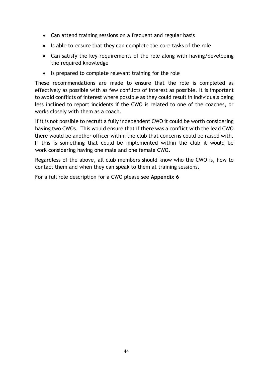- Can attend training sessions on a frequent and regular basis
- Is able to ensure that they can complete the core tasks of the role
- Can satisfy the key requirements of the role along with having/developing the required knowledge
- Is prepared to complete relevant training for the role

These recommendations are made to ensure that the role is completed as effectively as possible with as few conflicts of interest as possible. It is important to avoid conflicts of interest where possible as they could result in individuals being less inclined to report incidents if the CWO is related to one of the coaches, or works closely with them as a coach.

If it is not possible to recruit a fully independent CWO it could be worth considering having two CWOs. This would ensure that if there was a conflict with the lead CWO there would be another officer within the club that concerns could be raised with. If this is something that could be implemented within the club it would be work considering having one male and one female CWO.

Regardless of the above, all club members should know who the CWO is, how to contact them and when they can speak to them at training sessions.

For a full role description for a CWO please see **Appendix 6**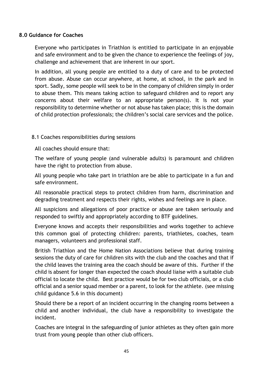#### **8.0 Guidance for Coaches**

Everyone who participates in Triathlon is entitled to participate in an enjoyable and safe environment and to be given the chance to experience the feelings of joy, challenge and achievement that are inherent in our sport.

In addition, all young people are entitled to a duty of care and to be protected from abuse. Abuse can occur anywhere, at home, at school, in the park and in sport. Sadly, some people will seek to be in the company of children simply in order to abuse them. This means taking action to safeguard children and to report any concerns about their welfare to an appropriate person(s). It is not your responsibility to determine whether or not abuse has taken place; this is the domain of child protection professionals; the children's social care services and the police.

## 8.1 Coaches responsibilities during sessions

All coaches should ensure that:

The welfare of young people (and vulnerable adults) is paramount and children have the right to protection from abuse.

All young people who take part in triathlon are be able to participate in a fun and safe environment.

All reasonable practical steps to protect children from harm, discrimination and degrading treatment and respects their rights, wishes and feelings are in place.

All suspicions and allegations of poor practice or abuse are taken seriously and responded to swiftly and appropriately according to BTF guidelines.

Everyone knows and accepts their responsibilities and works together to achieve this common goal of protecting children: parents, triathletes, coaches, team managers, volunteers and professional staff.

British Triathlon and the Home Nation Associations believe that during training sessions the duty of care for children sits with the club and the coaches and that if the child leaves the training area the coach should be aware of this. Further if the child is absent for longer than expected the coach should liaise with a suitable club official to locate the child. Best practice would be for two club officials, or a club official and a senior squad member or a parent, to look for the athlete. (see missing child guidance 5.6 in this document)

Should there be a report of an incident occurring in the changing rooms between a child and another individual, the club have a responsibility to investigate the incident.

Coaches are integral in the safeguarding of junior athletes as they often gain more trust from young people than other club officers.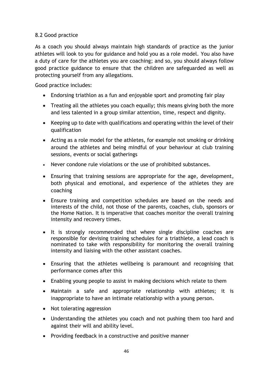# 8.2 Good practice

As a coach you should always maintain high standards of practice as the junior athletes will look to you for guidance and hold you as a role model. You also have a duty of care for the athletes you are coaching; and so, you should always follow good practice guidance to ensure that the children are safeguarded as well as protecting yourself from any allegations.

Good practice includes:

- Endorsing triathlon as a fun and enjoyable sport and promoting fair play
- Treating all the athletes you coach equally; this means giving both the more and less talented in a group similar attention, time, respect and dignity.
- Keeping up to date with qualifications and operating within the level of their qualification
- Acting as a role model for the athletes, for example not smoking or drinking around the athletes and being mindful of your behaviour at club training sessions, events or social gatherings
- Never condone rule violations or the use of prohibited substances.
- Ensuring that training sessions are appropriate for the age, development, both physical and emotional, and experience of the athletes they are coaching
- Ensure training and competition schedules are based on the needs and interests of the child, not those of the parents, coaches, club, sponsors or the Home Nation. It is imperative that coaches monitor the overall training intensity and recovery times.
- It is strongly recommended that where single discipline coaches are responsible for devising training schedules for a triathlete, a lead coach is nominated to take with responsibility for monitoring the overall training intensity and liaising with the other assistant coaches.
- Ensuring that the athletes wellbeing is paramount and recognising that performance comes after this
- Enabling young people to assist in making decisions which relate to them
- Maintain a safe and appropriate relationship with athletes; it is inappropriate to have an intimate relationship with a young person.
- Not tolerating aggression
- Understanding the athletes you coach and not pushing them too hard and against their will and ability level.
- Providing feedback in a constructive and positive manner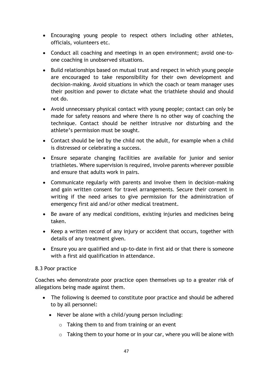- Encouraging young people to respect others including other athletes, officials, volunteers etc.
- Conduct all coaching and meetings in an open environment; avoid one-toone coaching in unobserved situations.
- Build relationships based on mutual trust and respect in which young people are encouraged to take responsibility for their own development and decision-making. Avoid situations in which the coach or team manager uses their position and power to dictate what the triathlete should and should not do.
- Avoid unnecessary physical contact with young people; contact can only be made for safety reasons and where there is no other way of coaching the technique. Contact should be neither intrusive nor disturbing and the athlete's permission must be sought.
- Contact should be led by the child not the adult, for example when a child is distressed or celebrating a success.
- Ensure separate changing facilities are available for junior and senior triathletes. Where supervision is required, involve parents wherever possible and ensure that adults work in pairs.
- Communicate regularly with parents and involve them in decision-making and gain written consent for travel arrangements. Secure their consent in writing if the need arises to give permission for the administration of emergency first aid and/or other medical treatment.
- Be aware of any medical conditions, existing injuries and medicines being taken.
- Keep a written record of any injury or accident that occurs, together with details of any treatment given.
- Ensure you are qualified and up-to-date in first aid or that there is someone with a first aid qualification in attendance.

## 8.3 Poor practice

Coaches who demonstrate poor practice open themselves up to a greater risk of allegations being made against them.

- The following is deemed to constitute poor practice and should be adhered to by all personnel:
	- Never be alone with a child/young person including:
		- $\circ$  Taking them to and from training or an event
		- $\circ$  Taking them to your home or in your car, where you will be alone with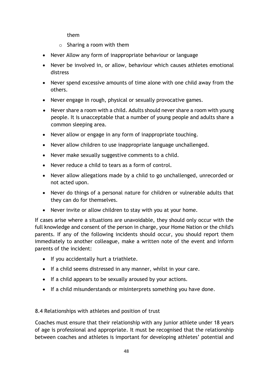them

- o Sharing a room with them
- Never Allow any form of inappropriate behaviour or language
- Never be involved in, or allow, behaviour which causes athletes emotional distress
- Never spend excessive amounts of time alone with one child away from the others.
- Never engage in rough, physical or sexually provocative games.
- Never share a room with a child. Adults should never share a room with young people. It is unacceptable that a number of young people and adults share a common sleeping area.
- Never allow or engage in any form of inappropriate touching.
- Never allow children to use inappropriate language unchallenged.
- Never make sexually suggestive comments to a child.
- Never reduce a child to tears as a form of control.
- Never allow allegations made by a child to go unchallenged, unrecorded or not acted upon.
- Never do things of a personal nature for children or vulnerable adults that they can do for themselves.
- Never invite or allow children to stay with you at your home.

If cases arise where a situations are unavoidable, they should only occur with the full knowledge and consent of the person in charge, your Home Nation or the child's parents. If any of the following incidents should occur, you should report them immediately to another colleague, make a written note of the event and inform parents of the incident:

- If you accidentally hurt a triathlete.
- If a child seems distressed in any manner, whilst in your care.
- If a child appears to be sexually aroused by your actions.
- If a child misunderstands or misinterprets something you have done.

8.4 Relationships with athletes and position of trust

Coaches must ensure that their relationship with any junior athlete under 18 years of age is professional and appropriate. It must be recognised that the relationship between coaches and athletes is important for developing athletes' potential and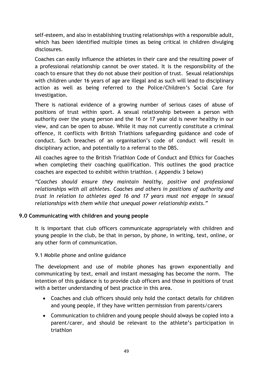self-esteem, and also in establishing trusting relationships with a responsible adult, which has been identified multiple times as being critical in children divulging disclosures.

Coaches can easily influence the athletes in their care and the resulting power of a professional relationship cannot be over stated. It is the responsibility of the coach to ensure that they do not abuse their position of trust. Sexual relationships with children under 16 years of age are illegal and as such will lead to disciplinary action as well as being referred to the Police/Children's Social Care for investigation.

There is national evidence of a growing number of serious cases of abuse of positions of trust within sport. A sexual relationship between a person with authority over the young person and the 16 or 17 year old is never healthy in our view, and can be open to abuse. While it may not currently constitute a criminal offence, it conflicts with British Triathlons safeguarding guidance and code of conduct. Such breaches of an organisation's code of conduct will result in disciplinary action, and potentially to a referral to the DBS.

All coaches agree to the British Triathlon Code of Conduct and Ethics for Coaches when completing their coaching qualification. This outlines the good practice coaches are expected to exhibit within triathlon. ( Appendix 3 below)

*"Coaches should ensure they maintain healthy, positive and professional relationships with all athletes. Coaches and others in positions of authority and trust in relation to athletes aged 16 and 17 years must not engage in sexual relationships with them while that unequal power relationship exists."*

## **9.0 Communicating with children and young people**

It is important that club officers communicate appropriately with children and young people in the club, be that in person, by phone, in writing, text, online, or any other form of communication.

9.1 Mobile phone and online guidance

The development and use of mobile phones has grown exponentially and communicating by text, email and instant messaging has become the norm. The intention of this guidance is to provide club officers and those in positions of trust with a better understanding of best practice in this area.

- Coaches and club officers should only hold the contact details for children and young people, if they have written permission from parents/carers
- Communication to children and young people should always be copied into a parent/carer, and should be relevant to the athlete's participation in triathlon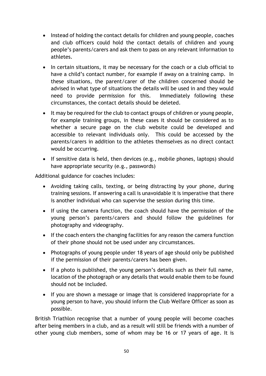- Instead of holding the contact details for children and young people, coaches and club officers could hold the contact details of children and young people's parents/carers and ask them to pass on any relevant information to athletes.
- In certain situations, it may be necessary for the coach or a club official to have a child's contact number, for example if away on a training camp. In these situations, the parent/carer of the children concerned should be advised in what type of situations the details will be used in and they would need to provide permission for this. Immediately following these circumstances, the contact details should be deleted.
- It may be required for the club to contact groups of children or young people, for example training groups, in these cases it should be considered as to whether a secure page on the club website could be developed and accessible to relevant individuals only. This could be accessed by the parents/carers in addition to the athletes themselves as no direct contact would be occurring.
- If sensitive data is held, then devices (e.g., mobile phones, laptops) should have appropriate security (e.g., passwords)

Additional guidance for coaches includes:

- Avoiding taking calls, texting, or being distracting by your phone, during training sessions. If answering a call is unavoidable it is imperative that there is another individual who can supervise the session during this time.
- If using the camera function, the coach should have the permission of the young person's parents/carers and should follow the guidelines for photography and videography.
- If the coach enters the changing facilities for any reason the camera function of their phone should not be used under any circumstances.
- Photographs of young people under 18 years of age should only be published if the permission of their parents/carers has been given.
- If a photo is published, the young person's details such as their full name, location of the photograph or any details that would enable them to be found should not be included.
- If you are shown a message or image that is considered inappropriate for a young person to have, you should inform the Club Welfare Officer as soon as possible.

British Triathlon recognise that a number of young people will become coaches after being members in a club, and as a result will still be friends with a number of other young club members, some of whom may be 16 or 17 years of age. It is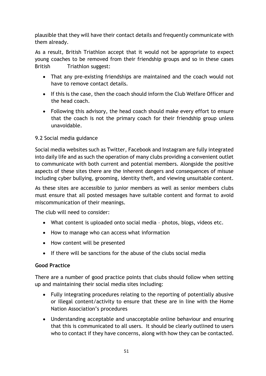plausible that they will have their contact details and frequently communicate with them already.

As a result, British Triathlon accept that it would not be appropriate to expect young coaches to be removed from their friendship groups and so in these cases British Triathlon suggest:

- That any pre-existing friendships are maintained and the coach would not have to remove contact details.
- If this is the case, then the coach should inform the Club Welfare Officer and the head coach.
- Following this advisory, the head coach should make every effort to ensure that the coach is not the primary coach for their friendship group unless unavoidable.

# 9.2 Social media guidance

Social media websites such as Twitter, Facebook and Instagram are fully integrated into daily life and as such the operation of many clubs providing a convenient outlet to communicate with both current and potential members. Alongside the positive aspects of these sites there are the inherent dangers and consequences of misuse including cyber bullying, grooming, identity theft, and viewing unsuitable content.

As these sites are accessible to junior members as well as senior members clubs must ensure that all posted messages have suitable content and format to avoid miscommunication of their meanings.

The club will need to consider:

- What content is uploaded onto social media photos, blogs, videos etc.
- How to manage who can access what information
- How content will be presented
- $\bullet$  If there will be sanctions for the abuse of the clubs social media

## **Good Practice**

There are a number of good practice points that clubs should follow when setting up and maintaining their social media sites including:

- Fully integrating procedures relating to the reporting of potentially abusive or illegal content/activity to ensure that these are in line with the Home Nation Association's procedures
- Understanding acceptable and unacceptable online behaviour and ensuring that this is communicated to all users. It should be clearly outlined to users who to contact if they have concerns, along with how they can be contacted.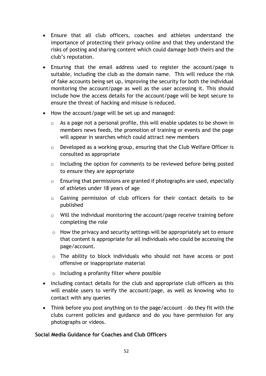- Ensure that all club officers, coaches and athletes understand the importance of protecting their privacy online and that they understand the risks of posting and sharing content which could damage both theirs and the club's reputation.
- Ensuring that the email address used to register the account/page is suitable, including the club as the domain name. This will reduce the risk of fake accounts being set up, improving the security for both the individual monitoring the account/page as well as the user accessing it. This should include how the access details for the account/page will be kept secure to ensure the threat of hacking and misuse is reduced.
- How the account/page will be set up and managed:
	- o As a page not a personal profile, this will enable updates to be shown in members news feeds, the promotion of training or events and the page will appear in searches which could attract new members
	- o Developed as a working group, ensuring that the Club Welfare Officer is consulted as appropriate
	- o Including the option for comments to be reviewed before being posted to ensure they are appropriate
	- o Ensuring that permissions are granted if photographs are used, especially of athletes under 18 years of age
	- o Gaining permission of club officers for their contact details to be published
	- o Will the individual monitoring the account/page receive training before completing the role
	- o How the privacy and security settings will be appropriately set to ensure that content is appropriate for all individuals who could be accessing the page/account.
	- o The ability to block individuals who should not have access or post offensive or inappropriate material
	- o Including a profanity filter where possible
- Including contact details for the club and appropriate club officers as this will enable users to verify the account/page, as well as knowing who to contact with any queries
- Think before you post anything on to the page/account do they fit with the clubs current policies and guidance and do you have permission for any photographs or videos.

# **Social Media Guidance for Coaches and Club Officers**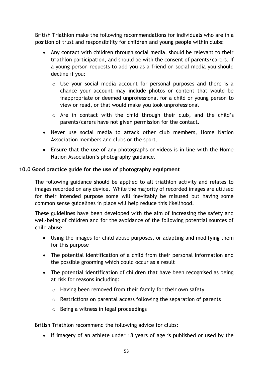British Triathlon make the following recommendations for individuals who are in a position of trust and responsibility for children and young people within clubs:

- Any contact with children through social media, should be relevant to their triathlon participation, and should be with the consent of parents/carers. If a young person requests to add you as a friend on social media you should decline if you:
	- $\circ$  Use your social media account for personal purposes and there is a chance your account may include photos or content that would be inappropriate or deemed unprofessional for a child or young person to view or read, or that would make you look unprofessional
	- o Are in contact with the child through their club, and the child's parents/carers have not given permission for the contact.
- Never use social media to attack other club members, Home Nation Association members and clubs or the sport.
- Ensure that the use of any photographs or videos is in line with the Home Nation Association's photography guidance.

# **10.0 Good practice guide for the use of photography equipment**

The following guidance should be applied to all triathlon activity and relates to images recorded on any device. While the majority of recorded images are utilised for their intended purpose some will inevitably be misused but having some common sense guidelines in place will help reduce this likelihood.

These guidelines have been developed with the aim of increasing the safety and well-being of children and for the avoidance of the following potential sources of child abuse:

- Using the images for child abuse purposes, or adapting and modifying them for this purpose
- The potential identification of a child from their personal information and the possible grooming which could occur as a result
- The potential identification of children that have been recognised as being at risk for reasons including:
	- o Having been removed from their family for their own safety
	- o Restrictions on parental access following the separation of parents
	- o Being a witness in legal proceedings

British Triathlon recommend the following advice for clubs:

• If imagery of an athlete under 18 years of age is published or used by the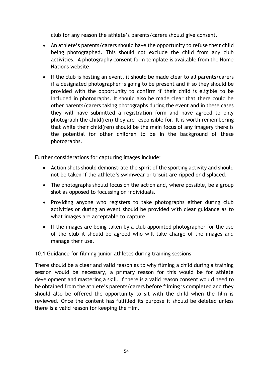club for any reason the athlete's parents/carers should give consent.

- An athlete's parents/carers should have the opportunity to refuse their child being photographed. This should not exclude the child from any club activities. A photography consent form template is available from the Home Nations website.
- If the club is hosting an event, it should be made clear to all parents/carers if a designated photographer is going to be present and if so they should be provided with the opportunity to confirm if their child is eligible to be included in photographs. It should also be made clear that there could be other parents/carers taking photographs during the event and in these cases they will have submitted a registration form and have agreed to only photograph the child(ren) they are responsible for. It is worth remembering that while their child(ren) should be the main focus of any imagery there is the potential for other children to be in the background of these photographs.

Further considerations for capturing images include:

- Action shots should demonstrate the spirit of the sporting activity and should not be taken if the athlete's swimwear or trisuit are ripped or displaced.
- The photographs should focus on the action and, where possible, be a group shot as opposed to focussing on individuals.
- Providing anyone who registers to take photographs either during club activities or during an event should be provided with clear guidance as to what images are acceptable to capture.
- If the images are being taken by a club appointed photographer for the use of the club it should be agreed who will take charge of the images and manage their use.

10.1 Guidance for filming junior athletes during training sessions

There should be a clear and valid reason as to why filming a child during a training session would be necessary, a primary reason for this would be for athlete development and mastering a skill. If there is a valid reason consent would need to be obtained from the athlete's parents/carers before filming is completed and they should also be offered the opportunity to sit with the child when the film is reviewed. Once the content has fulfilled its purpose it should be deleted unless there is a valid reason for keeping the film.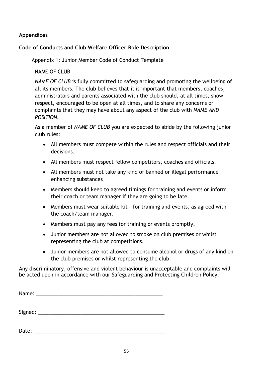## **Appendices**

## **Code of Conducts and Club Welfare Officer Role Description**

Appendix 1: Junior Member Code of Conduct Template

NAME OF CLUB

*NAME OF CLUB* is fully committed to safeguarding and promoting the wellbeing of all its members. The club believes that it is important that members, coaches, administrators and parents associated with the club should, at all times, show respect, encouraged to be open at all times, and to share any concerns or complaints that they may have about any aspect of the club with *NAME AND POSITION.*

As a member of *NAME OF CLUB* you are expected to abide by the following junior club rules:

- All members must compete within the rules and respect officials and their decisions.
- All members must respect fellow competitors, coaches and officials.
- All members must not take any kind of banned or illegal performance enhancing substances
- Members should keep to agreed timings for training and events or inform their coach or team manager if they are going to be late.
- Members must wear suitable kit for training and events, as agreed with the coach/team manager.
- Members must pay any fees for training or events promptly.
- Junior members are not allowed to smoke on club premises or whilst representing the club at competitions.
- Junior members are not allowed to consume alcohol or drugs of any kind on the club premises or whilst representing the club.

Any discriminatory, offensive and violent behaviour is unacceptable and complaints will be acted upon in accordance with our Safeguarding and Protecting Children Policy.

| Signed: $\_\_$ |  |  |  |
|----------------|--|--|--|

Date:  $\Box$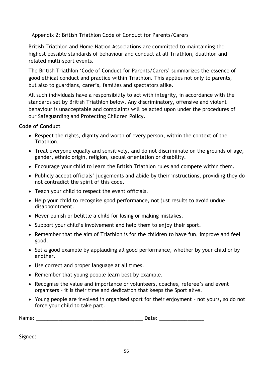Appendix 2: British Triathlon Code of Conduct for Parents/Carers

British Triathlon and Home Nation Associations are committed to maintaining the highest possible standards of behaviour and conduct at all Triathlon, duathlon and related multi-sport events.

The British Triathlon 'Code of Conduct for Parents/Carers' summarizes the essence of good ethical conduct and practice within Triathlon. This applies not only to parents, but also to guardians, carer's, families and spectators alike.

All such individuals have a responsibility to act with integrity, in accordance with the standards set by British Triathlon below. Any discriminatory, offensive and violent behaviour is unacceptable and complaints will be acted upon under the procedures of our Safeguarding and Protecting Children Policy.

## **Code of Conduct**

- Respect the rights, dignity and worth of every person, within the context of the Triathlon.
- Treat everyone equally and sensitively, and do not discriminate on the grounds of age, gender, ethnic origin, religion, sexual orientation or disability.
- Encourage your child to learn the British Triathlon rules and compete within them.
- Publicly accept officials' judgements and abide by their instructions, providing they do not contradict the spirit of this code.
- Teach your child to respect the event officials.
- Help your child to recognise good performance, not just results to avoid undue disappointment.
- Never punish or belittle a child for losing or making mistakes.
- Support your child's involvement and help them to enjoy their sport.
- Remember that the aim of Triathlon is for the children to have fun, improve and feel good.
- Set a good example by applauding all good performance, whether by your child or by another.
- Use correct and proper language at all times.
- Remember that young people learn best by example.
- Recognise the value and importance or volunteers, coaches, referee's and event organisers – it is their time and dedication that keeps the Sport alive.
- Young people are involved in organised sport for their enjoyment not yours, so do not force your child to take part.

| Name: | Jater<br>sacc |
|-------|---------------|
|       |               |

Signed:  $\Box$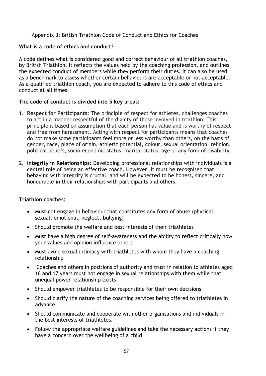## Appendix 3: British Triathlon Code of Conduct and Ethics for Coaches

#### **What is a code of ethics and conduct?**

A code defines what is considered good and correct behaviour of all triathlon coaches, by British Triathlon. It reflects the values held by the coaching profession, and outlines the expected conduct of members while they perform their duties. It can also be used as a benchmark to assess whether certain behaviours are acceptable or not acceptable. As a qualified triathlon coach, you are expected to adhere to this code of ethics and conduct at all times.

## **The code of conduct is divided into 5 key areas:**

- 1. **Respect for Participants:** The principle of respect for athletes, challenges coaches to act in a manner respectful of the dignity of those involved in triathlon. This principle is based on assumption that each person has value and is worthy of respect and free from harassment. Acting with respect for participants means that coaches do not make some participants feel more or less worthy than others, on the basis of gender, race, place of origin, athletic potential, colour, sexual orientation, religion, political beliefs, socio-economic status, marital status, age or any form of disability.
- 2. **Integrity in Relationships:** Developing professional relationships with individuals is a central role of being an effective coach. However, it must be recognised that behaving with integrity is crucial, and will be expected to be honest, sincere, and honourable in their relationships with participants and others.

## **Triathlon coaches:**

- Must not engage in behaviour that constitutes any form of abuse (physical, sexual, emotional, neglect, bullying)
- Should promote the welfare and best interests of their triathletes
- Must have a high degree of self-awareness and the ability to reflect critically how your values and opinion influence others
- Must avoid sexual intimacy with triathletes with whom they have a coaching relationship
- Coaches and others in positions of authority and trust in relation to athletes aged 16 and 17 years must not engage in sexual relationships with them while that unequal power relationship exists
- Should empower triathletes to be responsible for their own decisions
- Should clarify the nature of the coaching services being offered to triathletes in advance
- Should communicate and cooperate with other organisations and individuals in the best interests of triathletes.
- Follow the appropriate welfare guidelines and take the necessary actions if they have a concern over the wellbeing of a child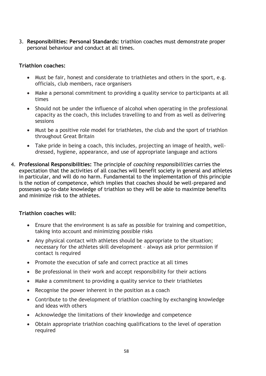3. **Responsibilities: Personal Standards:** triathlon coaches must demonstrate proper personal behaviour and conduct at all times.

#### **Triathlon coaches:**

- Must be fair, honest and considerate to triathletes and others in the sport, e.g. officials, club members, race organisers
- Make a personal commitment to providing a quality service to participants at all times
- Should not be under the influence of alcohol when operating in the professional capacity as the coach, this includes travelling to and from as well as delivering sessions
- Must be a positive role model for triathletes, the club and the sport of triathlon throughout Great Britain
- Take pride in being a coach, this includes, projecting an image of health, welldressed, hygiene, appearance, and use of appropriate language and actions
- 4. **Professional Responsibilities:** The principle of *coaching responsibilities* carries the expectation that the activities of all coaches will benefit society in general and athletes in particular, and will do no harm. Fundamental to the implementation of this principle is the notion of competence, which implies that coaches should be well-prepared and possesses up-to-date knowledge of triathlon so they will be able to maximize benefits and minimize risk to the athletes.

## **Triathlon coaches will:**

- Ensure that the environment is as safe as possible for training and competition, taking into account and minimizing possible risks
- Any physical contact with athletes should be appropriate to the situation; necessary for the athletes skill development – always ask prior permission if contact is required
- Promote the execution of safe and correct practice at all times
- Be professional in their work and accept responsibility for their actions
- Make a commitment to providing a quality service to their triathletes
- Recognise the power inherent in the position as a coach
- Contribute to the development of triathlon coaching by exchanging knowledge and ideas with others
- Acknowledge the limitations of their knowledge and competence
- Obtain appropriate triathlon coaching qualifications to the level of operation required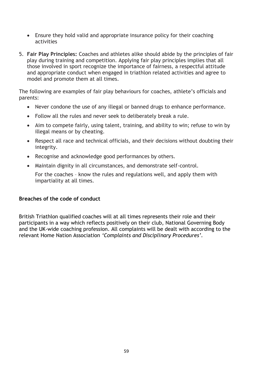- Ensure they hold valid and appropriate insurance policy for their coaching activities
- 5. **Fair Play Principles:** Coaches and athletes alike should abide by the principles of fair play during training and competition. Applying fair play principles implies that all those involved in sport recognize the importance of fairness, a respectful attitude and appropriate conduct when engaged in triathlon related activities and agree to model and promote them at all times.

The following are examples of fair play behaviours for coaches, athlete's officials and parents:

- Never condone the use of any illegal or banned drugs to enhance performance.
- Follow all the rules and never seek to deliberately break a rule.
- Aim to compete fairly, using talent, training, and ability to win; refuse to win by illegal means or by cheating.
- Respect all race and technical officials, and their decisions without doubting their integrity.
- Recognise and acknowledge good performances by others.
- Maintain dignity in all circumstances, and demonstrate self-control.

For the coaches – know the rules and regulations well, and apply them with impartiality at all times.

#### **Breaches of the code of conduct**

British Triathlon qualified coaches will at all times represents their role and their participants in a way which reflects positively on their club, National Governing Body and the UK-wide coaching profession. All complaints will be dealt with according to the relevant Home Nation Association *'Complaints and Disciplinary Procedures'.*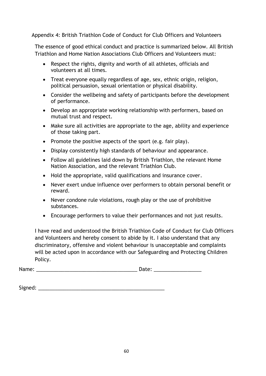#### Appendix 4: British Triathlon Code of Conduct for Club Officers and Volunteers

The essence of good ethical conduct and practice is summarized below. All British Triathlon and Home Nation Associations Club Officers and Volunteers must:

- Respect the rights, dignity and worth of all athletes, officials and volunteers at all times.
- Treat everyone equally regardless of age, sex, ethnic origin, religion, political persuasion, sexual orientation or physical disability.
- Consider the wellbeing and safety of participants before the development of performance.
- Develop an appropriate working relationship with performers, based on mutual trust and respect.
- Make sure all activities are appropriate to the age, ability and experience of those taking part.
- Promote the positive aspects of the sport  $(e.g., fair play).$
- Display consistently high standards of behaviour and appearance.
- Follow all guidelines laid down by British Triathlon, the relevant Home Nation Association, and the relevant Triathlon Club.
- Hold the appropriate, valid qualifications and insurance cover.
- Never exert undue influence over performers to obtain personal benefit or reward.
- Never condone rule violations, rough play or the use of prohibitive substances.
- Encourage performers to value their performances and not just results.

I have read and understood the British Triathlon Code of Conduct for Club Officers and Volunteers and hereby consent to abide by it. I also understand that any discriminatory, offensive and violent behaviour is unacceptable and complaints will be acted upon in accordance with our Safeguarding and Protecting Children Policy.

| Name:<br>Date: |
|----------------|
|----------------|

| Signed: |  |
|---------|--|
|         |  |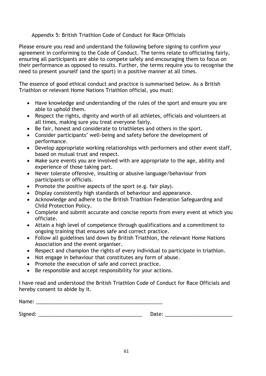### Appendix 5: British Triathlon Code of Conduct for Race Officials

Please ensure you read and understand the following before signing to confirm your agreement in conforming to the Code of Conduct. The terms relate to officiating fairly, ensuring all participants are able to compete safely and encouraging them to focus on their performance as opposed to results. Further, the terms require you to recognise the need to present yourself (and the sport) in a positive manner at all times.

The essence of good ethical conduct and practice is summarised below. As a British Triathlon or relevant Home Nations Triathlon official, you must:

- Have knowledge and understanding of the rules of the sport and ensure you are able to uphold them.
- Respect the rights, dignity and worth of all athletes, officials and volunteers at all times, making sure you treat everyone fairly.
- Be fair, honest and considerate to triathletes and others in the sport.
- Consider participants' well-being and safety before the development of performance.
- Develop appropriate working relationships with performers and other event staff, based on mutual trust and respect.
- Make sure events you are involved with are appropriate to the age, ability and experience of those taking part.
- Never tolerate offensive, insulting or abusive language/behaviour from participants or officials.
- Promote the positive aspects of the sport (e.g. fair play).
- Display consistently high standards of behaviour and appearance.
- Acknowledge and adhere to the British Triathlon Federation Safeguarding and Child Protection Policy.
- Complete and submit accurate and concise reports from every event at which you officiate.
- Attain a high level of competence through qualifications and a commitment to ongoing training that ensures safe and correct practice.
- Follow all guidelines laid down by British Triathlon, the relevant Home Nations Association and the event organiser.
- Respect and champion the rights of every individual to participate in triathlon.
- Not engage in behaviour that constitutes any form of abuse.
- Promote the execution of safe and correct practice.
- Be responsible and accept responsibility for your actions.

I have read and understood the British Triathlon Code of Conduct for Race Officials and hereby consent to abide by it.

Name: \_\_\_\_\_\_\_\_\_\_\_\_\_\_\_\_\_\_\_\_\_\_\_\_\_\_\_\_\_\_\_\_\_\_\_\_\_\_\_\_\_\_\_\_\_

Signed: \_\_\_\_\_\_\_\_\_\_\_\_\_\_\_\_\_\_\_\_\_\_\_\_\_\_\_\_\_\_\_\_\_\_\_\_\_ Date: \_\_\_\_\_\_\_\_\_\_\_\_\_\_\_\_\_\_\_\_\_\_\_\_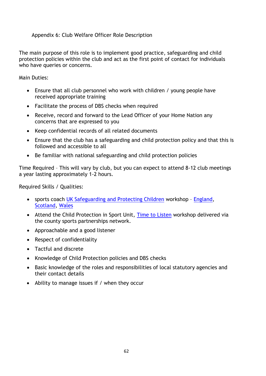#### Appendix 6: Club Welfare Officer Role Description

The main purpose of this role is to implement good practice, safeguarding and child protection policies within the club and act as the first point of contact for individuals who have queries or concerns.

Main Duties:

- Ensure that all club personnel who work with children / young people have received appropriate training
- Facilitate the process of DBS checks when required
- Receive, record and forward to the Lead Officer of your Home Nation any concerns that are expressed to you
- Keep confidential records of all related documents
- Ensure that the club has a safeguarding and child protection policy and that this is followed and accessible to all
- Be familiar with national safeguarding and child protection policies

Time Required – This will vary by club, but you can expect to attend 8-12 club meetings a year lasting approximately 1-2 hours.

Required Skills / Qualities:

- sports coach [UK Safeguarding and Protecting Children](http://www.sportscoachuk.org/site-tools/workshops/about-our-workshops/safeguarding-and-protecting-children) workshop [England,](http://www.sportscoachuk.org/workshops/workshop-search/results?term=Safeguarding+%26+Protecting+Children) [Scotland,](http://www.sportscotland.org.uk/coaching/coaching_get_qualified/coaching-cpd/) [Wales](http://sport.wales/media/1636021/)
- Attend the Child Protection in Sport Unit, [Time to Listen](https://thecpsu.org.uk/training-events/specialist-safeguarding-training/) workshop delivered via the county sports partnerships network.
- Approachable and a good listener
- Respect of confidentiality
- Tactful and discrete
- Knowledge of Child Protection policies and DBS checks
- Basic knowledge of the roles and responsibilities of local statutory agencies and their contact details
- Ability to manage issues if / when they occur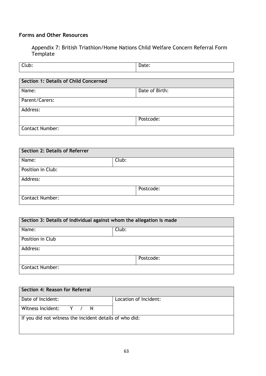# **Forms and Other Resources**

Appendix 7: British Triathlon/Home Nations Child Welfare Concern Referral Form Template

| Club:                                 | Date: |
|---------------------------------------|-------|
|                                       |       |
| Section 1: Details of Child Concerned |       |

| Name:                  | Date of Birth: |
|------------------------|----------------|
|                        |                |
| Parent/Carers:         |                |
|                        |                |
| Address:               |                |
|                        |                |
|                        | Postcode:      |
|                        |                |
| <b>Contact Number:</b> |                |
|                        |                |

| Section 2: Details of Referrer |       |           |
|--------------------------------|-------|-----------|
| Name:                          | Club: |           |
| Position in Club:              |       |           |
| Address:                       |       |           |
|                                |       | Postcode: |
| <b>Contact Number:</b>         |       |           |

| Section 3: Details of individual against whom the allegation is made |       |           |
|----------------------------------------------------------------------|-------|-----------|
| Name:                                                                | Club: |           |
| Position in Club                                                     |       |           |
| Address:                                                             |       |           |
|                                                                      |       | Postcode: |
| <b>Contact Number:</b>                                               |       |           |

| Section 4: Reason for Referral                          |                       |
|---------------------------------------------------------|-----------------------|
| Date of Incident:                                       | Location of Incident: |
| Witness Incident: Y / N                                 |                       |
| If you did not witness the incident details of who did: |                       |
|                                                         |                       |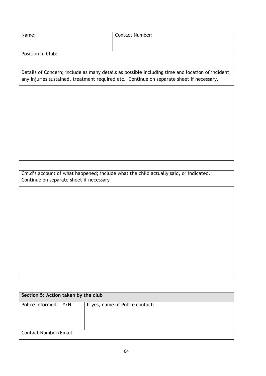| Name:             | <b>Contact Number:</b>                                                                           |
|-------------------|--------------------------------------------------------------------------------------------------|
|                   |                                                                                                  |
| Position in Club: |                                                                                                  |
|                   |                                                                                                  |
|                   | Details of Concern; include as many details as possible including time and location of incident, |
|                   | any injuries sustained, treatment required etc. Continue on separate sheet if necessary.         |
|                   |                                                                                                  |
|                   |                                                                                                  |
|                   |                                                                                                  |
|                   |                                                                                                  |
|                   |                                                                                                  |
|                   |                                                                                                  |
|                   |                                                                                                  |
|                   |                                                                                                  |
|                   |                                                                                                  |

Child's account of what happened; include what the child actually said, or indicated. Continue on separate sheet if necessary

| Section 5: Action taken by the club |                                 |  |  |
|-------------------------------------|---------------------------------|--|--|
| Police Informed: Y/N                | If yes, name of Police contact: |  |  |
| Contact Number/Email:               |                                 |  |  |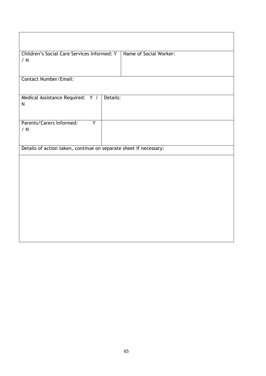| Children's Social Care Services Informed: Y<br>/ N                | Name of Social Worker: |
|-------------------------------------------------------------------|------------------------|
| <b>Contact Number/Email:</b>                                      |                        |
| Medical Assistance Required: Y / Details:<br>$\mathsf{N}$         |                        |
| Parents/Carers Informed:<br>Ÿ<br>/ N                              |                        |
| Details of action taken, continue on separate sheet if necessary: |                        |
|                                                                   |                        |
|                                                                   |                        |
|                                                                   |                        |
|                                                                   |                        |
|                                                                   |                        |
|                                                                   |                        |
|                                                                   |                        |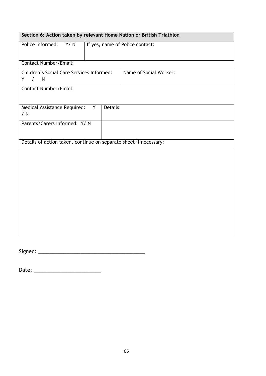| Section 6: Action taken by relevant Home Nation or British Triathlon |                                 |                        |  |  |  |
|----------------------------------------------------------------------|---------------------------------|------------------------|--|--|--|
| Police Informed:<br>Y/N                                              | If yes, name of Police contact: |                        |  |  |  |
| <b>Contact Number/Email:</b>                                         |                                 |                        |  |  |  |
| <b>Children's Social Care Services Informed:</b><br>$\sqrt{N}$<br>Y  |                                 | Name of Social Worker: |  |  |  |
| Contact Number/Email:                                                |                                 |                        |  |  |  |
| Medical Assistance Required:<br>Details:<br>Y.<br>/ N                |                                 |                        |  |  |  |
|                                                                      | Parents/Carers Informed: Y/ N   |                        |  |  |  |
| Details of action taken, continue on separate sheet if necessary:    |                                 |                        |  |  |  |
|                                                                      |                                 |                        |  |  |  |
|                                                                      |                                 |                        |  |  |  |
|                                                                      |                                 |                        |  |  |  |
|                                                                      |                                 |                        |  |  |  |
|                                                                      |                                 |                        |  |  |  |
|                                                                      |                                 |                        |  |  |  |
|                                                                      |                                 |                        |  |  |  |
|                                                                      |                                 |                        |  |  |  |
|                                                                      |                                 |                        |  |  |  |

Signed: \_\_\_\_\_\_\_\_\_\_\_\_\_\_\_\_\_\_\_\_\_\_\_\_\_\_\_\_\_\_\_\_\_\_\_\_\_\_

Date: \_\_\_\_\_\_\_\_\_\_\_\_\_\_\_\_\_\_\_\_\_\_\_\_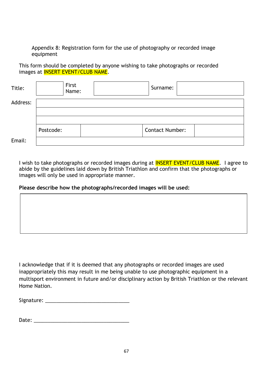Appendix 8: Registration form for the use of photography or recorded image equipment

This form should be completed by anyone wishing to take photographs or recorded images at **INSERT EVENT/CLUB NAME**.

| Title:   | First<br>Name: | Surname:               |  |
|----------|----------------|------------------------|--|
| Address: |                |                        |  |
|          |                |                        |  |
|          |                |                        |  |
|          | Postcode:      | <b>Contact Number:</b> |  |
| Email:   |                |                        |  |

I wish to take photographs or recorded images during at **INSERT EVENT/CLUB NAME**. I agree to abide by the guidelines laid down by British Triathlon and confirm that the photographs or images will only be used in appropriate manner.

#### **Please describe how the photographs/recorded images will be used:**

| I acknowledge that if it is deemed that any photographs or recorded images are used              |
|--------------------------------------------------------------------------------------------------|
| inappropriately this may result in me being unable to use photographic equipment in a            |
| multisport environment in future and/or disciplinary action by British Triathlon or the relevant |
| Home Nation.                                                                                     |

| Signature: |  |
|------------|--|
|            |  |

|--|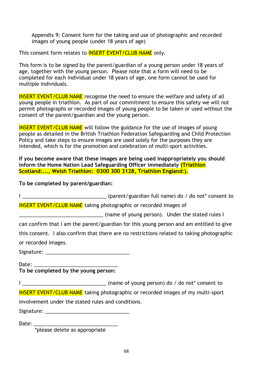Appendix 9: Consent form for the taking and use of photographic and recorded images of young people (under 18 years of age)

This consent form relates to **INSERT EVENT/CLUB NAME** only.

This form is to be signed by the parent/guardian of a young person under 18 years of age, together with the young person. Please note that a form will need to be completed for each individual under 18 years of age, one form cannot be used for multiple individuals.

**INSERT EVENT/CLUB NAME** recognise the need to ensure the welfare and safety of all young people in triathlon. As part of our commitment to ensure this safety we will not permit photographs or recorded images of young people to be taken or used without the consent of the parent/guardian and the young person.

**INSERT EVENT/CLUB NAME** will follow the guidance for the use of images of young people as detailed in the British Triathlon Federation Safeguarding and Child Protection Policy and take steps to ensure images are used solely for the purposes they are intended, which is for the promotion and celebration of multi-sport activities.

**If you become aware that these images are being used inappropriately you should inform the Home Nation Lead Safeguarding Officer immediately (Triathlon Scotland:..., Welsh Triathlon: 0300 300 3128, Triathlon England:).**

**To be completed by parent/guardian:**

I \_\_\_\_\_\_\_\_\_\_\_\_\_\_\_\_\_\_\_\_\_\_\_\_\_\_\_\_\_\_ (parent/guardian full name) do / do not\* consent to INSERT EVENT/CLUB NAME taking photographic or recorded images of \_\_\_\_\_\_\_\_\_\_\_\_\_\_\_\_\_\_\_\_\_\_\_\_\_\_\_\_\_\_ (name of young person). Under the stated rules I can confirm that I am the parent/guardian for this young person and am entitled to give this consent. I also confirm that there are no restrictions related to taking photographic or recorded images. Signature:  $\overline{\phantom{a}}$ Date: **To be completed by the young person:** I \_\_\_\_\_\_\_\_\_\_\_\_\_\_\_\_\_\_\_\_\_\_\_\_\_\_\_\_\_\_ (name of young person) do / do not\* consent to INSERT EVENT/CLUB NAME taking photographic or recorded images of my multi-sport involvement under the stated rules and conditions.

Signature:  $\Box$ 

Date: \_\_\_\_\_\_\_\_\_\_\_\_\_\_\_\_\_\_\_\_\_\_\_\_\_\_\_\_\_\_

\*please delete as appropriate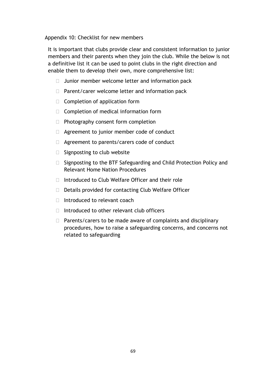Appendix 10: Checklist for new members

It is important that clubs provide clear and consistent information to junior members and their parents when they join the club. While the below is not a definitive list it can be used to point clubs in the right direction and enable them to develop their own, more comprehensive list:

- $\Box$  Junior member welcome letter and information pack
- $\Box$  Parent/carer welcome letter and information pack
- $\Box$  Completion of application form
- $\Box$  Completion of medical information form
- $\Box$  Photography consent form completion
- □ Agreement to junior member code of conduct
- □ Agreement to parents/carers code of conduct
- $\Box$  Signposting to club website
- $\Box$  Signposting to the BTF Safeguarding and Child Protection Policy and Relevant Home Nation Procedures
- $\Box$  Introduced to Club Welfare Officer and their role
- $\Box$  Details provided for contacting Club Welfare Officer
- $\Box$  Introduced to relevant coach
- $\Box$  Introduced to other relevant club officers
- $\Box$  Parents/carers to be made aware of complaints and disciplinary procedures, how to raise a safeguarding concerns, and concerns not related to safeguarding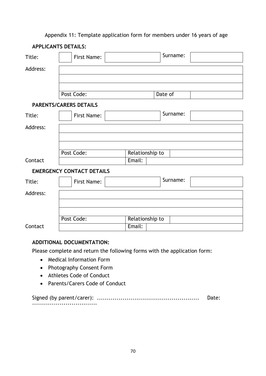#### Appendix 11: Template application form for members under 16 years of age

|          | <b>APPLICANTS DETAILS:</b>       |                 |          |
|----------|----------------------------------|-----------------|----------|
| Title:   | First Name:                      |                 | Surname: |
| Address: |                                  |                 |          |
|          |                                  |                 |          |
|          |                                  |                 |          |
|          | Post Code:                       |                 | Date of  |
|          | <b>PARENTS/CARERS DETAILS</b>    |                 |          |
| Title:   | First Name:                      |                 | Surname: |
| Address: |                                  |                 |          |
|          |                                  |                 |          |
|          |                                  |                 |          |
|          | Post Code:                       | Relationship to |          |
| Contact  |                                  | Email:          |          |
|          | <b>EMERGENCY CONTACT DETAILS</b> |                 |          |
| Title:   | First Name:                      |                 | Surname: |
| Address: |                                  |                 |          |
|          |                                  |                 |          |
|          |                                  |                 |          |
|          | Post Code:                       | Relationship to |          |
| Contact  |                                  | Email:          |          |

## **ADDITIONAL DOCUMENTATION:**

Please complete and return the following forms with the application form:

- Medical Information Form
- Photography Consent Form
- Athletes Code of Conduct
- Parents/Carers Code of Conduct

Signed (by parent/carer): .................................................... Date: .................................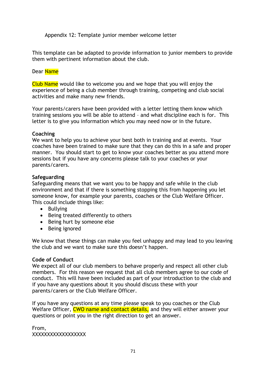Appendix 12: Template junior member welcome letter

This template can be adapted to provide information to junior members to provide them with pertinent information about the club.

#### Dear Name

Club Name would like to welcome you and we hope that you will enjoy the experience of being a club member through training, competing and club social activities and make many new friends.

Your parents/carers have been provided with a letter letting them know which training sessions you will be able to attend – and what discipline each is for. This letter is to give you information which you may need now or in the future.

#### **Coaching**

We want to help you to achieve your best both in training and at events. Your coaches have been trained to make sure that they can do this in a safe and proper manner. You should start to get to know your coaches better as you attend more sessions but if you have any concerns please talk to your coaches or your parents/carers.

#### **Safeguarding**

Safeguarding means that we want you to be happy and safe while in the club environment and that if there is something stopping this from happening you let someone know, for example your parents, coaches or the Club Welfare Officer. This could include things like:

- Bullying
- Being treated differently to others
- Being hurt by someone else
- Being ignored

We know that these things can make you feel unhappy and may lead to you leaving the club and we want to make sure this doesn't happen.

#### **Code of Conduct**

We expect all of our club members to behave properly and respect all other club members. For this reason we request that all club members agree to our code of conduct. This will have been included as part of your introduction to the club and if you have any questions about it you should discuss these with your parents/carers or the Club Welfare Officer.

If you have any questions at any time please speak to you coaches or the Club Welfare Officer, CWO name and contact details, and they will either answer your questions or point you in the right direction to get an answer.

From, XXXXXXXXXXXXXXXXXX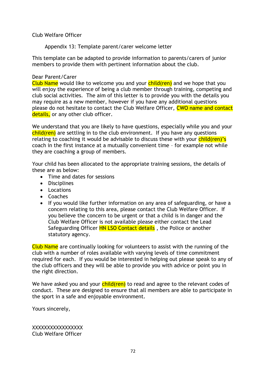Club Welfare Officer

Appendix 13: Template parent/carer welcome letter

This template can be adapted to provide information to parents/carers of junior members to provide them with pertinent information about the club.

#### Dear Parent/Carer

Club Name would like to welcome you and your child(ren) and we hope that you will enjoy the experience of being a club member through training, competing and club social activities. The aim of this letter is to provide you with the details you may require as a new member, however if you have any additional questions please do not hesitate to contact the Club Welfare Officer, CWO name and contact details, or any other club officer.

We understand that you are likely to have questions, especially while you and your  $child$ (ren) are settling in to the club environment. If you have any questions relating to coaching it would be advisable to discuss these with your  $children$ 's coach in the first instance at a mutually convenient time – for example not while they are coaching a group of members.

Your child has been allocated to the appropriate training sessions, the details of these are as below:

- Time and dates for sessions
- **•** Disciplines
- Locations
- Coaches
- If you would like further information on any area of safeguarding, or have a concern relating to this area, please contact the Club Welfare Officer. If you believe the concern to be urgent or that a child is in danger and the Club Welfare Officer is not available please either contact the Lead Safeguarding Officer **HN LSO Contact details**, the Police or another statutory agency.

Club Name are continually looking for volunteers to assist with the running of the club with a number of roles available with varying levels of time commitment required for each. If you would be interested in helping out please speak to any of the club officers and they will be able to provide you with advice or point you in the right direction.

We have asked you and your  $child(ren)$  to read and agree to the relevant codes of conduct. These are designed to ensure that all members are able to participate in the sport in a safe and enjoyable environment.

Yours sincerely,

XXXXXXXXXXXXXXXXX Club Welfare Officer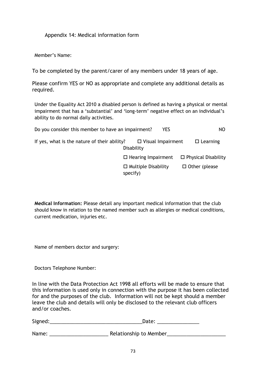Appendix 14: Medical information form

Member's Name:

To be completed by the parent/carer of any members under 18 years of age.

Please confirm YES or NO as appropriate and complete any additional details as required.

Under the Equality Act 2010 a disabled person is defined as having a physical or mental impairment that has a 'substantial' and 'long-term' negative effect on an individual's ability to do normal daily activities.

| Do you consider this member to have an impairment? | YES                                    | NO                         |
|----------------------------------------------------|----------------------------------------|----------------------------|
| If yes, what is the nature of their ability?       | $\Box$ Visual Impairment<br>Disability | $\Box$ Learning            |
|                                                    | $\Box$ Hearing Impairment              | $\Box$ Physical Disability |
|                                                    | $\Box$ Multiple Disability<br>specify) | $\Box$ Other (please       |

**Medical Information:** Please detail any important medical information that the club should know in relation to the named member such as allergies or medical conditions, current medication, injuries etc.

Name of members doctor and surgery:

Doctors Telephone Number:

In line with the Data Protection Act 1998 all efforts will be made to ensure that this information is used only in connection with the purpose it has been collected for and the purposes of the club. Information will not be kept should a member leave the club and details will only be disclosed to the relevant club officers and/or coaches.

Signed:\_\_\_\_\_\_\_\_\_\_\_\_\_\_\_\_\_\_\_\_\_\_\_\_\_\_\_\_\_\_\_\_\_Date: \_\_\_\_\_\_\_\_\_\_\_\_\_\_\_

Name: \_\_\_\_\_\_\_\_\_\_\_\_\_\_\_\_\_\_\_\_\_ Relationship to Member\_\_\_\_\_\_\_\_\_\_\_\_\_\_\_\_\_\_\_\_\_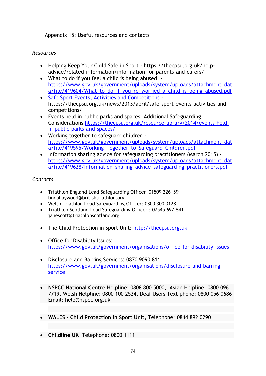Appendix 15: Useful resources and contacts

## *Resources*

- Helping Keep Your Child Safe in Sport https://thecpsu.org.uk/helpadvice/related-information/information-for-parents-and-carers/
- What to do if you feel a child is being abused [https://www.gov.uk/government/uploads/system/uploads/attachment\\_dat](https://www.gov.uk/government/uploads/system/uploads/attachment_data/file/419604/What_to_do_if_you_re_worried_a_child_is_being_abused.pdf) a/file/419604/What to do if you re worried a child is being abused.pdf
- [Safe Sport Events, Activities and Competitions](https://thecpsu.org.uk/news/2013/april/safe-sport-events-activities-and-competitions/) https://thecpsu.org.uk/news/2013/april/safe-sport-events-activities-andcompetitions/
- Events held in public parks and spaces: Additional Safeguarding Considerations [https://thecpsu.org.uk/resource-library/2014/events-held](https://thecpsu.org.uk/resource-library/2014/events-held-in-public-parks-and-spaces/)[in-public-parks-and-spaces/](https://thecpsu.org.uk/resource-library/2014/events-held-in-public-parks-and-spaces/)
- Working together to safeguard children [https://www.gov.uk/government/uploads/system/uploads/attachment\\_dat](https://www.gov.uk/government/uploads/system/uploads/attachment_data/file/419595/Working_Together_to_Safeguard_Children.pdf) [a/file/419595/Working\\_Together\\_to\\_Safeguard\\_Children.pdf](https://www.gov.uk/government/uploads/system/uploads/attachment_data/file/419595/Working_Together_to_Safeguard_Children.pdf)
- Information sharing advice for safeguarding practitioners (March 2015) [https://www.gov.uk/government/uploads/system/uploads/attachment\\_dat](https://www.gov.uk/government/uploads/system/uploads/attachment_data/file/419628/Information_sharing_advice_safeguarding_practitioners.pdf) [a/file/419628/Information\\_sharing\\_advice\\_safeguarding\\_practitioners.pdf](https://www.gov.uk/government/uploads/system/uploads/attachment_data/file/419628/Information_sharing_advice_safeguarding_practitioners.pdf)

## *Contacts*

- Triathlon England Lead Safeguarding Officer 01509 226159 lindahaywood@britishtriathlon.org
- Welsh Triathlon Lead Safeguarding Officer: 0300 300 3128
- Triathlon Scotland Lead Safeguarding Officer : 07545 697 841 janescott@triathlonscotland.org
- The Child Protection in Sport Unit: [http://thecpsu.org.uk](http://thecpsu.org.uk/)
- Office for Disability Issues: <https://www.gov.uk/government/organisations/office-for-disability-issues>
- Disclosure and Barring Services: 0870 9090 811 [https://www.gov.uk/government/organisations/disclosure-and-barring](https://www.gov.uk/government/organisations/disclosure-and-barring-service)[service](https://www.gov.uk/government/organisations/disclosure-and-barring-service)
- **NSPCC National Centre** Helpline: 0808 800 5000, Asian Helpline: 0800 096 7719, Welsh Helpline: 0800 100 2524, Deaf Users Text phone: 0800 056 0686 Email: [help@nspcc.org.uk](mailto:help@nspcc.org.uk)
- **WALES - Child Protection in Sport Unit,** Telephone: 0844 892 0290
- **Childline UK** Telephone: 0800 1111